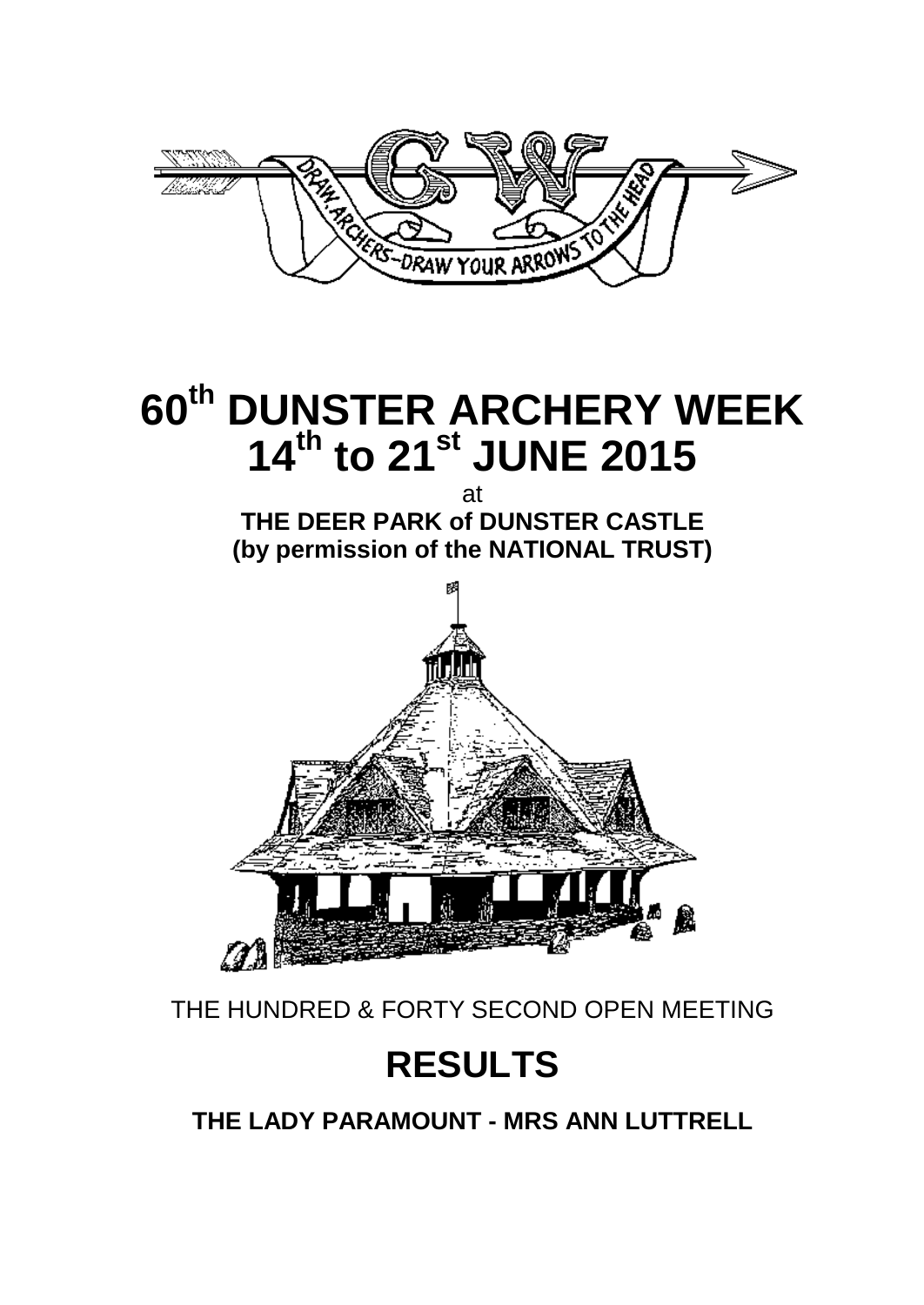

# **60th DUNSTER ARCHERY WEEK 14 th to 21 st JUNE 2015**

at **THE DEER PARK of DUNSTER CASTLE (by permission of the NATIONAL TRUST)**



THE HUNDRED & FORTY SECOND OPEN MEETING

# **RESULTS**

**THE LADY PARAMOUNT - MRS ANN LUTTRELL**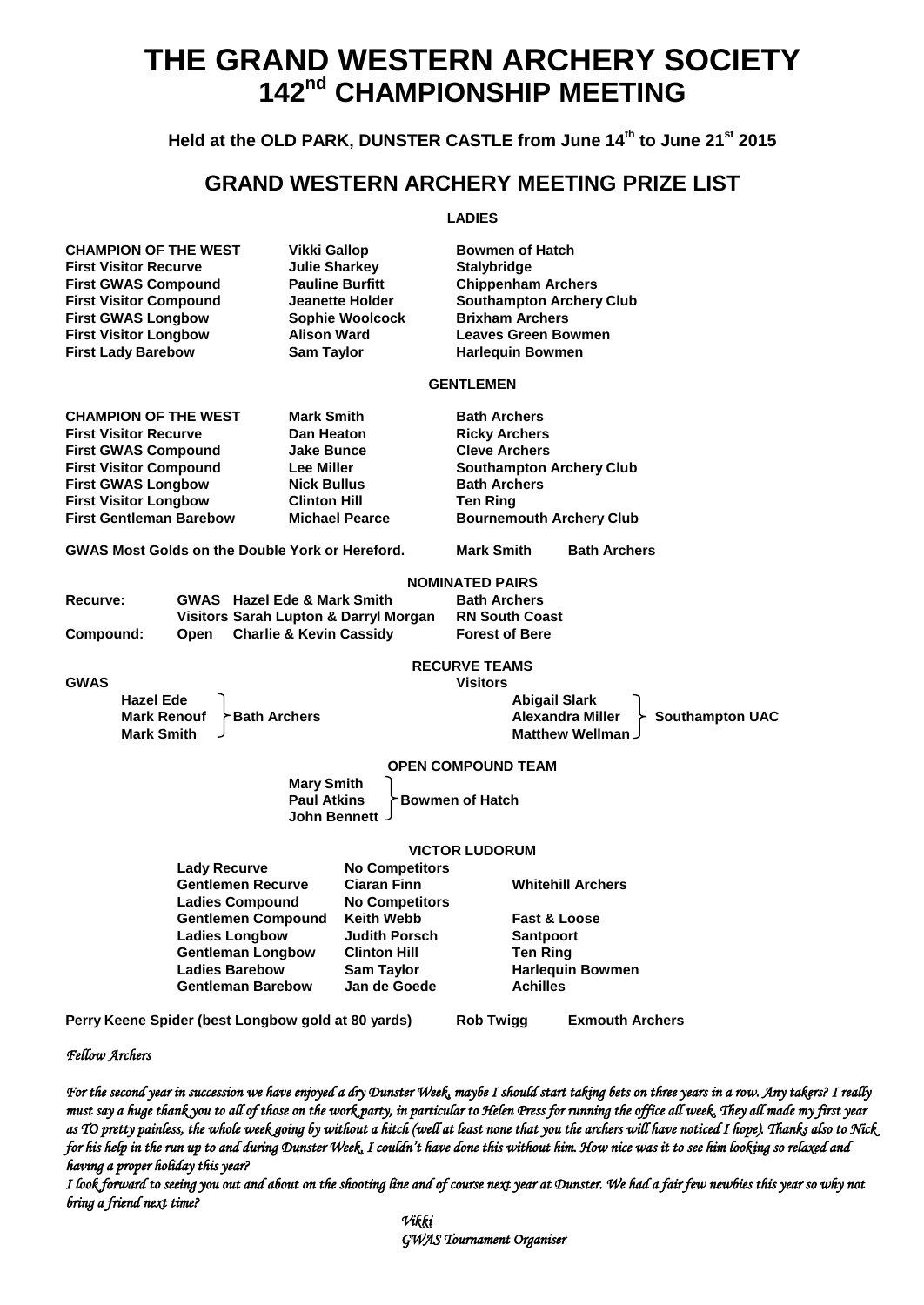# **THE GRAND WESTERN ARCHERY SOCIETY 142nd CHAMPIONSHIP MEETING**

### **Held at the OLD PARK, DUNSTER CASTLE from June 14 th to June 21 st 2015**

## **GRAND WESTERN ARCHERY MEETING PRIZE LIST**

#### **LADIES**

| <b>CHAMPION OF THE WEST</b><br><b>First Visitor Recurve</b><br><b>First GWAS Compound</b><br><b>First Visitor Compound</b><br><b>First GWAS Longbow</b><br><b>First Visitor Longbow</b><br><b>First Lady Barebow</b> | Vikki Gallop<br><b>Julie Sharkey</b><br><b>Pauline Burfitt</b><br><b>Jeanette Holder</b><br>Sophie Woolcock<br><b>Alison Ward</b><br><b>Sam Taylor</b> | <b>Bowmen of Hatch</b><br>Stalybridge<br><b>Chippenham Archers</b><br><b>Southampton Archery Club</b><br><b>Brixham Archers</b><br><b>Leaves Green Bowmen</b><br><b>Harlequin Bowmen</b> |                                                  |
|----------------------------------------------------------------------------------------------------------------------------------------------------------------------------------------------------------------------|--------------------------------------------------------------------------------------------------------------------------------------------------------|------------------------------------------------------------------------------------------------------------------------------------------------------------------------------------------|--------------------------------------------------|
|                                                                                                                                                                                                                      |                                                                                                                                                        | <b>GENTLEMEN</b>                                                                                                                                                                         |                                                  |
| <b>CHAMPION OF THE WEST</b><br><b>First Visitor Recurve</b><br><b>First GWAS Compound</b>                                                                                                                            | <b>Mark Smith</b><br>Dan Heaton<br><b>Jake Bunce</b>                                                                                                   | <b>Bath Archers</b><br><b>Ricky Archers</b><br><b>Cleve Archers</b>                                                                                                                      |                                                  |
| <b>First Visitor Compound</b><br><b>First GWAS Longbow</b><br><b>First Visitor Longbow</b><br><b>First Gentleman Barebow</b>                                                                                         | <b>Lee Miller</b><br><b>Nick Bullus</b><br><b>Clinton Hill</b><br><b>Michael Pearce</b>                                                                | <b>Southampton Archery Club</b><br><b>Bath Archers</b><br><b>Ten Ring</b><br><b>Bournemouth Archery Club</b>                                                                             |                                                  |
| <b>GWAS Most Golds on the Double York or Hereford.</b>                                                                                                                                                               |                                                                                                                                                        | <b>Mark Smith</b>                                                                                                                                                                        | <b>Bath Archers</b>                              |
|                                                                                                                                                                                                                      |                                                                                                                                                        | <b>NOMINATED PAIRS</b>                                                                                                                                                                   |                                                  |
| Recurve:                                                                                                                                                                                                             | <b>GWAS</b> Hazel Ede & Mark Smith                                                                                                                     | <b>Bath Archers</b>                                                                                                                                                                      |                                                  |
| Compound:<br><b>Open</b>                                                                                                                                                                                             | Visitors Sarah Lupton & Darryl Morgan<br><b>Charlie &amp; Kevin Cassidy</b>                                                                            | <b>RN South Coast</b><br><b>Forest of Bere</b>                                                                                                                                           |                                                  |
|                                                                                                                                                                                                                      |                                                                                                                                                        | <b>RECURVE TEAMS</b>                                                                                                                                                                     |                                                  |
| <b>GWAS</b><br><b>Hazel Ede</b>                                                                                                                                                                                      |                                                                                                                                                        | <b>Visitors</b><br><b>Abigail Slark</b>                                                                                                                                                  |                                                  |
| <b>Mark Renouf</b><br><b>Bath Archers</b><br><b>Mark Smith</b>                                                                                                                                                       |                                                                                                                                                        | <b>Alexandra Miller</b>                                                                                                                                                                  | <b>Southampton UAC</b><br><b>Matthew Wellman</b> |
|                                                                                                                                                                                                                      |                                                                                                                                                        | <b>OPEN COMPOUND TEAM</b>                                                                                                                                                                |                                                  |
|                                                                                                                                                                                                                      | <b>Mary Smith</b><br><b>Paul Atkins</b><br><b>John Bennett</b>                                                                                         | <b>Bowmen of Hatch</b>                                                                                                                                                                   |                                                  |
|                                                                                                                                                                                                                      |                                                                                                                                                        | <b>VICTOR LUDORUM</b>                                                                                                                                                                    |                                                  |
| <b>Lady Recurve</b><br><b>Gentlemen Recurve</b><br><b>Ladies Compound</b>                                                                                                                                            | <b>No Competitors</b><br><b>Ciaran Finn</b><br><b>No Competitors</b>                                                                                   | <b>Whitehill Archers</b>                                                                                                                                                                 |                                                  |
| <b>Gentlemen Compound</b><br><b>Ladies Longbow</b><br><b>Gentleman Longbow</b>                                                                                                                                       | <b>Keith Webb</b><br><b>Judith Porsch</b><br><b>Clinton Hill</b>                                                                                       | <b>Fast &amp; Loose</b><br><b>Santpoort</b><br><b>Ten Ring</b>                                                                                                                           |                                                  |
| <b>Ladies Barebow</b><br><b>Gentleman Barebow</b>                                                                                                                                                                    | Sam Taylor<br>Jan de Goede                                                                                                                             | <b>Achilles</b>                                                                                                                                                                          | Harlequin Bowmen                                 |
| Perry Keene Spider (best Longbow gold at 80 yards)                                                                                                                                                                   |                                                                                                                                                        | <b>Rob Twigg</b>                                                                                                                                                                         | <b>Exmouth Archers</b>                           |

*Fellow Archers* 

*For the second year in succession we have enjoyed a dry Dunster Week, maybe I should start taking bets on three years in a row. Any takers? I really must say a huge thank you to all of those on the work party, in particular to Helen Press for running the office all week. They all made my first year as TO pretty painless, the whole week going by without a hitch (well at least none that you the archers will have noticed I hope). Thanks also to Nick for his help in the run up to and during Dunster Week, I couldn't have done this without him. How nice was it to see him looking so relaxed and having a proper holiday this year?* 

*I look forward to seeing you out and about on the shooting line and of course next year at Dunster. We had a fair few newbies this year so why not bring a friend next time?*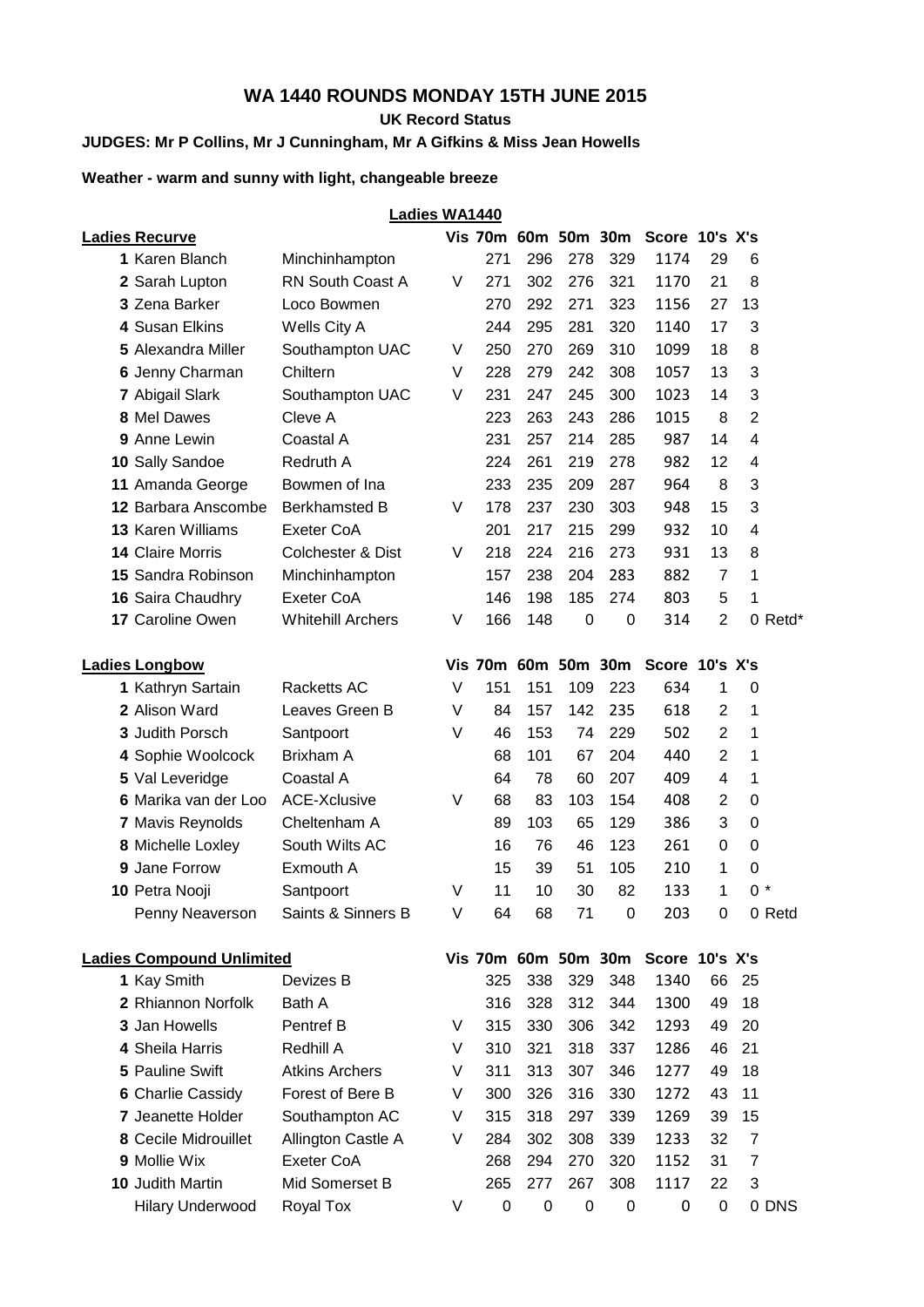## **WA 1440 ROUNDS MONDAY 15TH JUNE 2015**

**UK Record Status**

## **JUDGES: Mr P Collins, Mr J Cunningham, Mr A Gifkins & Miss Jean Howells**

#### **Weather - warm and sunny with light, changeable breeze**

|                                  |                              | <b>Ladies WA1440</b> |                     |                  |                  |                     |                                    |                |                |         |
|----------------------------------|------------------------------|----------------------|---------------------|------------------|------------------|---------------------|------------------------------------|----------------|----------------|---------|
| <b>Ladies Recurve</b>            |                              |                      |                     |                  |                  | Vis 70m 60m 50m 30m | Score 10's X's                     |                |                |         |
| 1 Karen Blanch                   | Minchinhampton               |                      | 271                 | 296              | 278              | 329                 | 1174                               | 29             | 6              |         |
| 2 Sarah Lupton                   | <b>RN South Coast A</b>      | V                    | 271                 | 302              | 276              | 321                 | 1170                               | 21             | 8              |         |
| 3 Zena Barker                    | Loco Bowmen                  |                      | 270                 | 292              | 271              | 323                 | 1156                               | 27             | 13             |         |
| 4 Susan Elkins                   | Wells City A                 |                      | 244                 | 295              | 281              | 320                 | 1140                               | 17             | 3              |         |
| 5 Alexandra Miller               | Southampton UAC              | V                    | 250                 | 270              | 269              | 310                 | 1099                               | 18             | 8              |         |
| 6 Jenny Charman                  | Chiltern                     | V                    | 228                 | 279              | 242              | 308                 | 1057                               | 13             | 3              |         |
| 7 Abigail Slark                  | Southampton UAC              | V                    | 231                 | 247              | 245              | 300                 | 1023                               | 14             | 3              |         |
| 8 Mel Dawes                      | Cleve A                      |                      | 223                 | 263              | 243              | 286                 | 1015                               | 8              | $\overline{2}$ |         |
| 9 Anne Lewin                     | Coastal A                    |                      | 231                 | 257              | 214              | 285                 | 987                                | 14             | 4              |         |
| 10 Sally Sandoe                  | Redruth A                    |                      | 224                 | 261              | 219              | 278                 | 982                                | 12             | 4              |         |
| 11 Amanda George                 | Bowmen of Ina                |                      | 233                 | 235              | 209              | 287                 | 964                                | 8              | 3              |         |
| 12 Barbara Anscombe              | <b>Berkhamsted B</b>         | V                    | 178                 | 237              | 230              | 303                 | 948                                | 15             | 3              |         |
| 13 Karen Williams                | <b>Exeter CoA</b>            |                      | 201                 | 217              | 215              | 299                 | 932                                | 10             | 4              |         |
| 14 Claire Morris                 | <b>Colchester &amp; Dist</b> | V                    | 218                 | 224              | 216              | 273                 | 931                                | 13             | 8              |         |
| 15 Sandra Robinson               | Minchinhampton               |                      | 157                 | 238              | 204              | 283                 | 882                                | $\overline{7}$ | 1              |         |
| 16 Saira Chaudhry                | Exeter CoA                   |                      | 146                 | 198              | 185              | 274                 | 803                                | 5              | 1              |         |
| 17 Caroline Owen                 | <b>Whitehill Archers</b>     | V                    | 166                 | 148              | 0                | 0                   | 314                                | $\overline{2}$ |                | 0 Retd* |
|                                  |                              |                      |                     |                  |                  |                     |                                    |                |                |         |
| <b>Ladies Longbow</b>            |                              |                      | Vis 70m 60m 50m 30m |                  |                  |                     | Score 10's X's                     |                |                |         |
| 1 Kathryn Sartain                | Racketts AC                  | V                    | 151                 | 151              | 109              | 223                 | 634                                | 1              | 0              |         |
| 2 Alison Ward                    | Leaves Green B               | V                    | 84                  | 157              | 142              | 235                 | 618                                | $\overline{2}$ | 1              |         |
| 3 Judith Porsch                  | Santpoort                    | V                    | 46                  | 153              | 74               | 229                 | 502                                | $\overline{2}$ | 1              |         |
| 4 Sophie Woolcock                | Brixham A                    |                      | 68                  | 101              | 67               | 204                 | 440                                | $\overline{2}$ | 1              |         |
| 5 Val Leveridge                  | Coastal A                    |                      | 64                  | 78               | 60               | 207                 | 409                                | 4              | 1              |         |
| 6 Marika van der Loo             | <b>ACE-Xclusive</b>          | V                    | 68                  | 83               | 103              | 154                 | 408                                | 2              | $\mathbf 0$    |         |
| 7 Mavis Reynolds                 | Cheltenham A                 |                      | 89                  | 103              | 65               | 129                 | 386                                | 3              | $\mathbf 0$    |         |
| 8 Michelle Loxley                | South Wilts AC               |                      | 16                  | 76               | 46               | 123                 | 261                                | 0              | $\mathbf 0$    |         |
| 9 Jane Forrow                    | Exmouth A                    |                      | 15                  | 39               | 51               | 105                 | 210                                | 1              | 0              |         |
| 10 Petra Nooji                   | Santpoort                    | V                    | 11                  | 10               | 30               | 82                  | 133                                | 1              | $0 *$          |         |
| Penny Neaverson                  | Saints & Sinners B           | V                    | 64                  | 68               | 71               | 0                   | 203                                | $\mathbf 0$    |                | 0 Retd  |
| <b>Ladies Compound Unlimited</b> |                              |                      |                     |                  |                  |                     | Vis 70m 60m 50m 30m Score 10's X's |                |                |         |
| 1 Kay Smith                      | Devizes B                    |                      | 325                 | 338              | 329              | 348                 | 1340                               | 66             | 25             |         |
| 2 Rhiannon Norfolk               | Bath A                       |                      | 316                 | 328              | 312              | 344                 | 1300                               | 49             | 18             |         |
| 3 Jan Howells                    | Pentref B                    | V                    | 315                 | 330              | 306              | 342                 | 1293                               | 49             | 20             |         |
| 4 Sheila Harris                  | Redhill A                    | V                    | 310                 | 321              | 318              | 337                 | 1286                               | 46             | 21             |         |
| 5 Pauline Swift                  | <b>Atkins Archers</b>        | V                    | 311                 | 313              | 307              | 346                 | 1277                               | 49             | 18             |         |
| 6 Charlie Cassidy                | Forest of Bere B             | V                    | 300                 | 326              | 316              | 330                 | 1272                               | 43             | 11             |         |
| 7 Jeanette Holder                | Southampton AC               | V                    | 315                 | 318              | 297              | 339                 | 1269                               | 39             | 15             |         |
| 8 Cecile Midrouillet             | Allington Castle A           | V                    | 284                 | 302              | 308              | 339                 | 1233                               | 32             | $\overline{7}$ |         |
| 9 Mollie Wix                     | Exeter CoA                   |                      | 268                 | 294              | 270              | 320                 | 1152                               | 31             | $\overline{7}$ |         |
| 10 Judith Martin                 | Mid Somerset B               |                      | 265                 | 277              | 267              | 308                 | 1117                               | 22             | 3              |         |
| <b>Hilary Underwood</b>          | Royal Tox                    | V                    | 0                   | $\boldsymbol{0}$ | $\boldsymbol{0}$ | 0                   | 0                                  | 0              |                | 0 DNS   |
|                                  |                              |                      |                     |                  |                  |                     |                                    |                |                |         |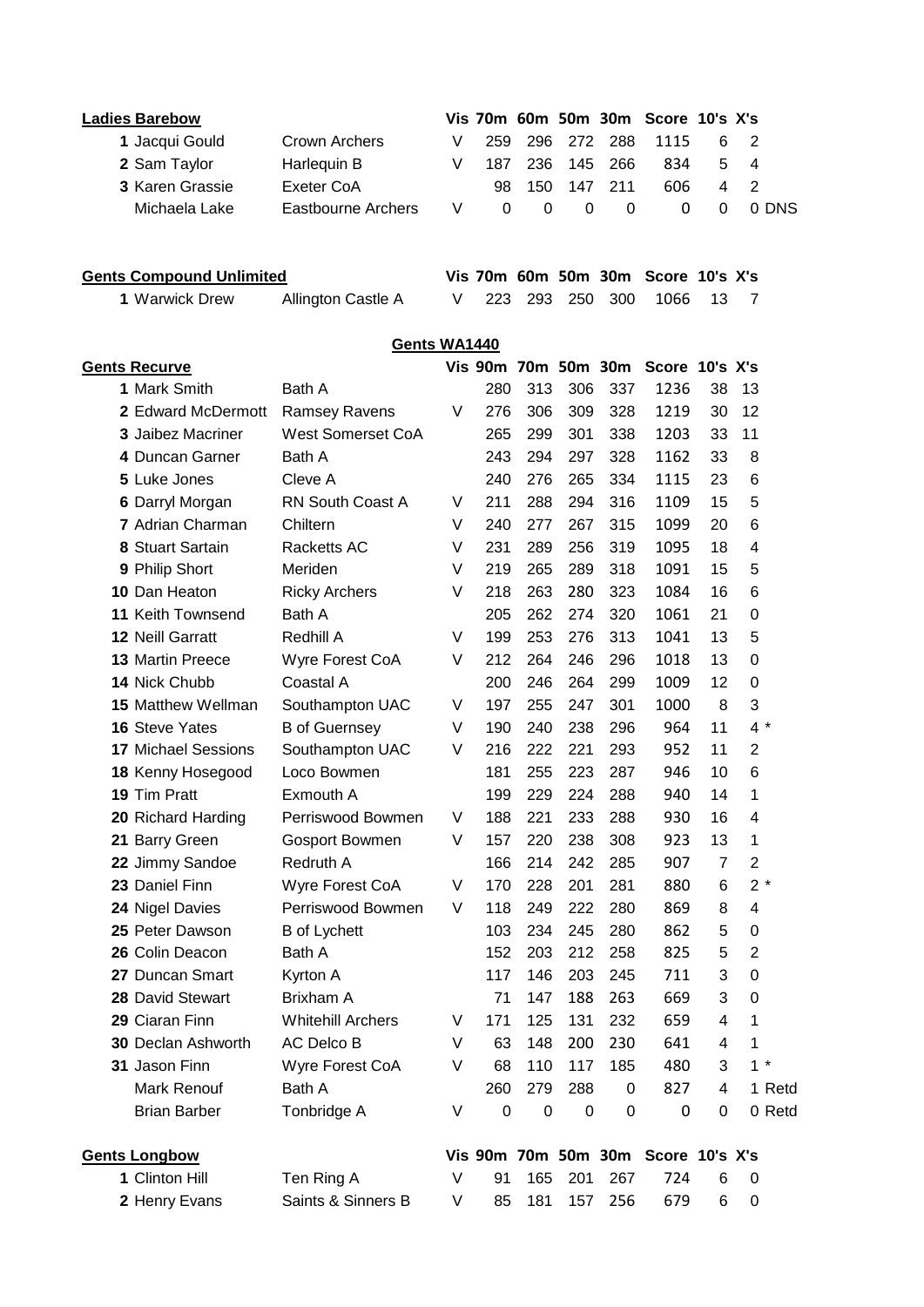| <b>Ladies Barebow</b>           |                           |   |           |                  |             | Vis 70m 60m 50m 30m | Score 10's X's                     |                |                |        |
|---------------------------------|---------------------------|---|-----------|------------------|-------------|---------------------|------------------------------------|----------------|----------------|--------|
| 1 Jacqui Gould                  | Crown Archers             | V | 259       | 296              | 272         | 288                 | 1115                               | 6              | 2              |        |
| 2 Sam Taylor                    | Harlequin B               | ٧ | 187       | 236              | 145         | 266                 | 834                                | 5              | 4              |        |
| 3 Karen Grassie                 | Exeter CoA                |   | 98        | 150              | 147         | 211                 | 606                                | 4              | $\overline{2}$ |        |
| Michaela Lake                   | <b>Eastbourne Archers</b> | V | 0         | $\mathbf 0$      | $\mathbf 0$ | 0                   | 0                                  | $\Omega$       |                | 0 DNS  |
|                                 |                           |   |           |                  |             |                     |                                    |                |                |        |
| <b>Gents Compound Unlimited</b> |                           |   |           |                  |             |                     | Vis 70m 60m 50m 30m Score 10's X's |                |                |        |
| 1 Warwick Drew                  | Allington Castle A        | V | 223       | 293              | 250         | 300                 | 1066                               | 13             | 7              |        |
|                                 |                           |   |           |                  |             |                     |                                    |                |                |        |
|                                 | Gents WA1440              |   |           |                  |             |                     |                                    |                |                |        |
| <b>Gents Recurve</b>            |                           |   |           |                  |             |                     | Vis 90m 70m 50m 30m Score 10's X's |                |                |        |
| 1 Mark Smith                    | Bath A                    |   | 280       | 313              | 306         | 337                 | 1236                               | 38             | 13             |        |
| 2 Edward McDermott              | <b>Ramsey Ravens</b>      | V | 276       | 306              | 309         | 328                 | 1219                               | 30             | 12             |        |
| <b>3 Jaibez Macriner</b>        | <b>West Somerset CoA</b>  |   | 265       | 299              | 301         | 338                 | 1203                               | 33             | 11             |        |
| 4 Duncan Garner                 | Bath A                    |   | 243       | 294              | 297         | 328                 | 1162                               | 33             | 8              |        |
| 5 Luke Jones                    | Cleve A                   |   | 240       | 276              | 265         | 334                 | 1115                               | 23             | 6              |        |
| 6 Darryl Morgan                 | <b>RN South Coast A</b>   | V | 211       | 288              | 294         | 316                 | 1109                               | 15             | 5              |        |
| 7 Adrian Charman                | Chiltern                  | V | 240       | 277              | 267         | 315                 | 1099                               | 20             | 6              |        |
| 8 Stuart Sartain                | <b>Racketts AC</b>        | V | 231       | 289              | 256         | 319                 | 1095                               | 18             | 4              |        |
| 9 Philip Short                  | Meriden                   | V | 219       | 265              | 289         | 318                 | 1091                               | 15             | 5              |        |
| 10 Dan Heaton                   | <b>Ricky Archers</b>      | V | 218       | 263              | 280         | 323                 | 1084                               | 16             | 6              |        |
| 11 Keith Townsend               | Bath A                    |   | 205       | 262              | 274         | 320                 | 1061                               | 21             | 0              |        |
| <b>12 Neill Garratt</b>         | Redhill A                 | V | 199       | 253              | 276         | 313                 | 1041                               | 13             | 5              |        |
| <b>13 Martin Preece</b>         | Wyre Forest CoA           | V | 212       | 264              | 246         | 296                 | 1018                               | 13             | 0              |        |
| 14 Nick Chubb                   | Coastal A                 |   | 200       | 246              | 264         | 299                 | 1009                               | 12             | 0              |        |
| <b>15 Matthew Wellman</b>       | Southampton UAC           | V | 197       | 255              | 247         | 301                 | 1000                               | 8              | 3              |        |
| <b>16 Steve Yates</b>           | <b>B</b> of Guernsey      | V | 190       | 240              | 238         | 296                 | 964                                | 11             | 4 *            |        |
| <b>17 Michael Sessions</b>      | Southampton UAC           | V | 216       | 222              | 221         | 293                 | 952                                | 11             | $\overline{c}$ |        |
| 18 Kenny Hosegood               | Loco Bowmen               |   | 181       | 255              | 223         | 287                 | 946                                | 10             | 6              |        |
| 19 Tim Pratt                    | Exmouth A                 |   | 199       | 229              | 224         | 288                 | 940                                | 14             | 1              |        |
| 20 Richard Harding              | Perriswood Bowmen         | V | 188       | 221              | 233         | 288                 | 930                                | 16             | 4              |        |
| 21 Barry Green                  | Gosport Bowmen            | V | 157       | 220              | 238         | 308                 | 923                                | 13             | 1              |        |
| 22 Jimmy Sandoe                 | Redruth A                 |   | 166       | 214              | 242         | 285                 | 907                                | $\overline{7}$ | $\overline{2}$ |        |
| 23 Daniel Finn                  | Wyre Forest CoA           | V | 170       | 228              | 201         | 281                 | 880                                | 6              | $2*$           |        |
| 24 Nigel Davies                 | Perriswood Bowmen         | V | 118       | 249              | 222         | 280                 | 869                                | 8              | 4              |        |
| 25 Peter Dawson                 | <b>B</b> of Lychett       |   | 103       | 234              | 245         | 280                 | 862                                | 5              | 0              |        |
| 26 Colin Deacon                 | Bath A                    |   | 152       | 203              | 212         | 258                 | 825                                | 5              | $\overline{2}$ |        |
| 27 Duncan Smart                 | Kyrton A                  |   | 117       | 146              | 203         | 245                 | 711                                | 3              | 0              |        |
| 28 David Stewart                | Brixham A                 |   | 71        | 147              | 188         | 263                 | 669                                | 3              | 0              |        |
| 29 Ciaran Finn                  | <b>Whitehill Archers</b>  | V | 171       | 125              | 131         | 232                 | 659                                | 4              | 1              |        |
| 30 Declan Ashworth              | AC Delco B                | V | 63        | 148              | 200         | 230                 | 641                                | 4              | 1              |        |
| 31 Jason Finn                   | Wyre Forest CoA           | V | 68        | 110              | 117         | 185                 | 480                                | 3              | $1 *$          |        |
| Mark Renouf                     | Bath A                    |   | 260       | 279              | 288         | 0                   | 827                                | 4              |                | 1 Retd |
| <b>Brian Barber</b>             | Tonbridge A               | V | $\pmb{0}$ | $\boldsymbol{0}$ | 0           | 0                   | 0                                  | 0              |                | 0 Retd |
| <b>Gents Longbow</b>            |                           |   |           |                  |             |                     | Vis 90m 70m 50m 30m Score 10's X's |                |                |        |
| 1 Clinton Hill                  | Ten Ring A                | V | 91        | 165              | 201         | 267                 | 724                                | 6              | 0              |        |
| 2 Henry Evans                   | Saints & Sinners B        | V | 85        | 181              | 157         | 256                 | 679                                | 6              | 0              |        |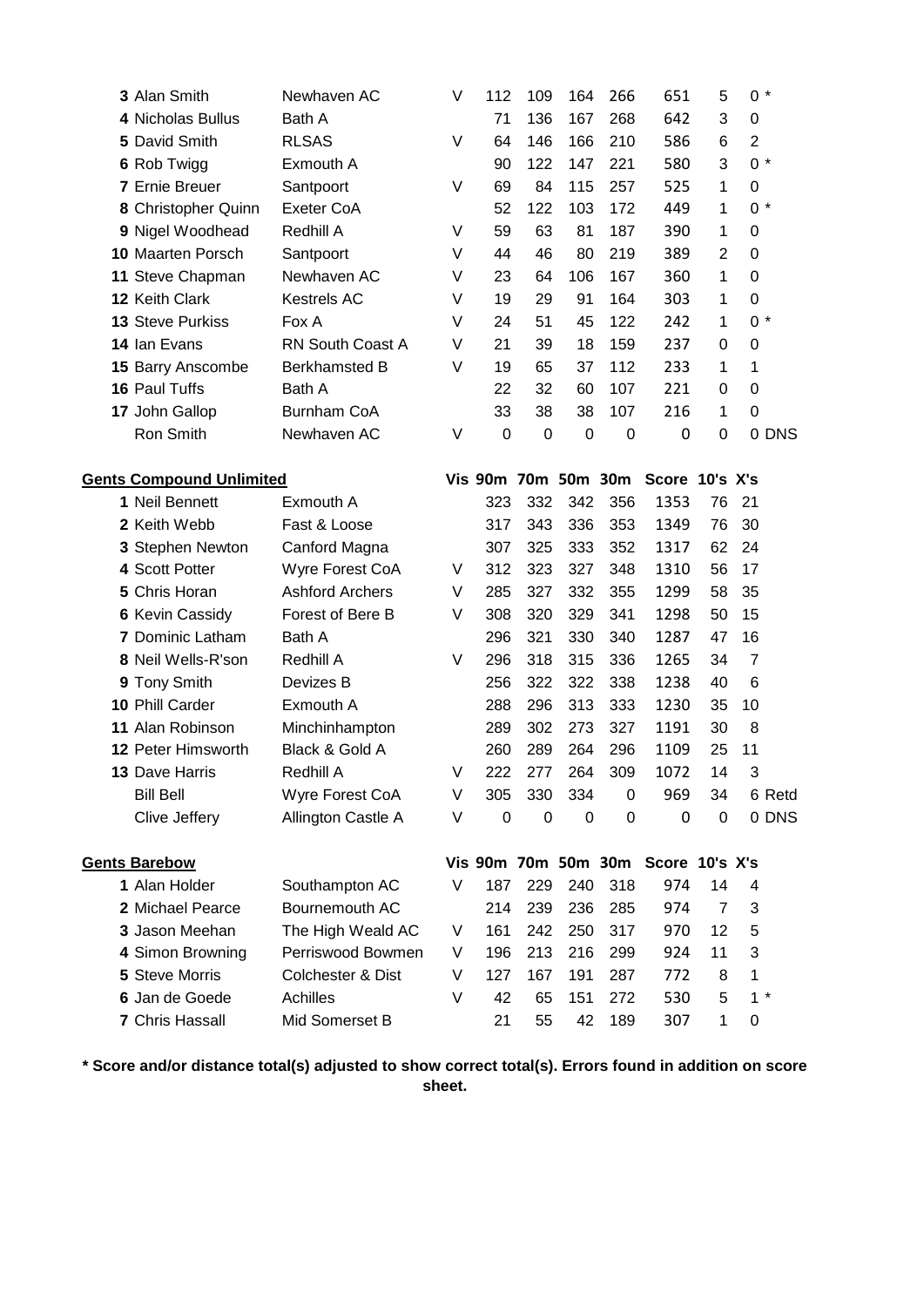|                                 | 3 Alan Smith             | Newhaven AC             | V | 112         | 109         | 164         | 266                 | 651                                | 5              | $0 *$          |        |
|---------------------------------|--------------------------|-------------------------|---|-------------|-------------|-------------|---------------------|------------------------------------|----------------|----------------|--------|
|                                 | 4 Nicholas Bullus        | Bath A                  |   | 71          | 136         | 167         | 268                 | 642                                | 3              | $\mathbf 0$    |        |
|                                 | 5 David Smith            | <b>RLSAS</b>            | V | 64          | 146         | 166         | 210                 | 586                                | 6              | $\overline{c}$ |        |
|                                 | 6 Rob Twigg              | Exmouth A               |   | 90          | 122         | 147         | 221                 | 580                                | 3              | $0 *$          |        |
|                                 | <b>7 Ernie Breuer</b>    | Santpoort               | V | 69          | 84          | 115         | 257                 | 525                                | 1              | 0              |        |
|                                 | 8 Christopher Quinn      | Exeter CoA              |   | 52          | 122         | 103         | 172                 | 449                                | 1              | $0 *$          |        |
|                                 | 9 Nigel Woodhead         | Redhill A               | V | 59          | 63          | 81          | 187                 | 390                                | 1              | 0              |        |
|                                 | <b>10 Maarten Porsch</b> | Santpoort               | V | 44          | 46          | 80          | 219                 | 389                                | $\overline{2}$ | 0              |        |
|                                 | 11 Steve Chapman         | Newhaven AC             | V | 23          | 64          | 106         | 167                 | 360                                | 1              | 0              |        |
|                                 | 12 Keith Clark           | Kestrels AC             | V | 19          | 29          | 91          | 164                 | 303                                | 1              | 0              |        |
|                                 | 13 Steve Purkiss         | Fox A                   | V | 24          | 51          | 45          | 122                 | 242                                | 1              | $0 *$          |        |
|                                 | 14 Ian Evans             | <b>RN South Coast A</b> | V | 21          | 39          | 18          | 159                 | 237                                | 0              | 0              |        |
|                                 | 15 Barry Anscombe        | <b>Berkhamsted B</b>    | V | 19          | 65          | 37          | 112                 | 233                                | 1              | 1              |        |
|                                 | 16 Paul Tuffs            | Bath A                  |   | 22          | 32          | 60          | 107                 | 221                                | 0              | $\mathbf 0$    |        |
|                                 | 17 John Gallop           | <b>Burnham CoA</b>      |   | 33          | 38          | 38          | 107                 | 216                                | 1              | $\mathbf 0$    |        |
|                                 | Ron Smith                | Newhaven AC             | V | $\mathbf 0$ | $\mathbf 0$ | $\mathbf 0$ | $\pmb{0}$           | 0                                  | 0              |                | 0 DNS  |
|                                 |                          |                         |   |             |             |             |                     |                                    |                |                |        |
| <b>Gents Compound Unlimited</b> |                          |                         |   |             |             |             | Vis 90m 70m 50m 30m | Score 10's X's                     |                |                |        |
|                                 | 1 Neil Bennett           | Exmouth A               |   | 323         | 332         | 342         | 356                 | 1353                               | 76             | 21             |        |
|                                 | 2 Keith Webb             | Fast & Loose            |   | 317         | 343         | 336         | 353                 | 1349                               | 76             | 30             |        |
|                                 | 3 Stephen Newton         | Canford Magna           |   | 307         | 325         | 333         | 352                 | 1317                               | 62             | 24             |        |
|                                 | 4 Scott Potter           | Wyre Forest CoA         | V | 312         | 323         | 327         | 348                 | 1310                               | 56             | 17             |        |
|                                 | 5 Chris Horan            | <b>Ashford Archers</b>  | V | 285         | 327         | 332         | 355                 | 1299                               | 58             | 35             |        |
|                                 | <b>6 Kevin Cassidy</b>   | Forest of Bere B        | V | 308         | 320         | 329         | 341                 | 1298                               | 50             | 15             |        |
|                                 | <b>7</b> Dominic Latham  | Bath A                  |   | 296         | 321         | 330         | 340                 | 1287                               | 47             | 16             |        |
|                                 | 8 Neil Wells-R'son       | Redhill A               | V | 296         | 318         | 315         | 336                 | 1265                               | 34             | $\overline{7}$ |        |
|                                 | 9 Tony Smith             | Devizes B               |   | 256         | 322         | 322         | 338                 | 1238                               | 40             | 6              |        |
|                                 | 10 Phill Carder          | Exmouth A               |   | 288         | 296         | 313         | 333                 | 1230                               | 35             | 10             |        |
| 11                              | Alan Robinson            | Minchinhampton          |   | 289         | 302         | 273         | 327                 | 1191                               | 30             | 8              |        |
|                                 | 12 Peter Himsworth       | Black & Gold A          |   | 260         | 289         | 264         | 296                 | 1109                               | 25             | 11             |        |
|                                 | <b>13 Dave Harris</b>    | Redhill A               | V | 222         | 277         | 264         | 309                 | 1072                               | 14             | 3              |        |
|                                 | <b>Bill Bell</b>         | Wyre Forest CoA         | V | 305         | 330         | 334         | 0                   | 969                                | 34             |                | 6 Retd |
|                                 | Clive Jeffery            | Allington Castle A      | V | $\pmb{0}$   | $\pmb{0}$   | $\mathbf 0$ | 0                   | 0                                  | $\mathbf 0$    |                | 0 DNS  |
|                                 |                          |                         |   |             |             |             |                     |                                    |                |                |        |
|                                 | <b>Gents Barebow</b>     |                         |   |             |             |             |                     | Vis 90m 70m 50m 30m Score 10's X's |                |                |        |
|                                 | 1 Alan Holder            | Southampton AC          | V | 187         | 229         | 240         | 318                 | 974                                | 14             | 4              |        |
|                                 | 2 Michael Pearce         | Bournemouth AC          |   | 214         | 239         | 236         | 285                 | 974                                | $\overline{7}$ | 3              |        |
|                                 | 3 Jason Meehan           | The High Weald AC       | V | 161         | 242         | 250         | 317                 | 970                                | 12             | 5              |        |
|                                 | 4 Simon Browning         | Perriswood Bowmen       | V | 196         | 213         | 216         | 299                 | 924                                | 11             | 3              |        |
|                                 | 5 Steve Morris           | Colchester & Dist       | V | 127         | 167         | 191         | 287                 | 772                                | 8              | $\mathbf 1$    |        |
|                                 | 6 Jan de Goede           | Achilles                | V | 42          | 65          | 151         | 272                 | 530                                | 5              | $1 *$          |        |
|                                 | 7 Chris Hassall          | Mid Somerset B          |   | 21          | 55          | 42          | 189                 | 307                                | 1              | 0              |        |

**\* Score and/or distance total(s) adjusted to show correct total(s). Errors found in addition on score sheet.**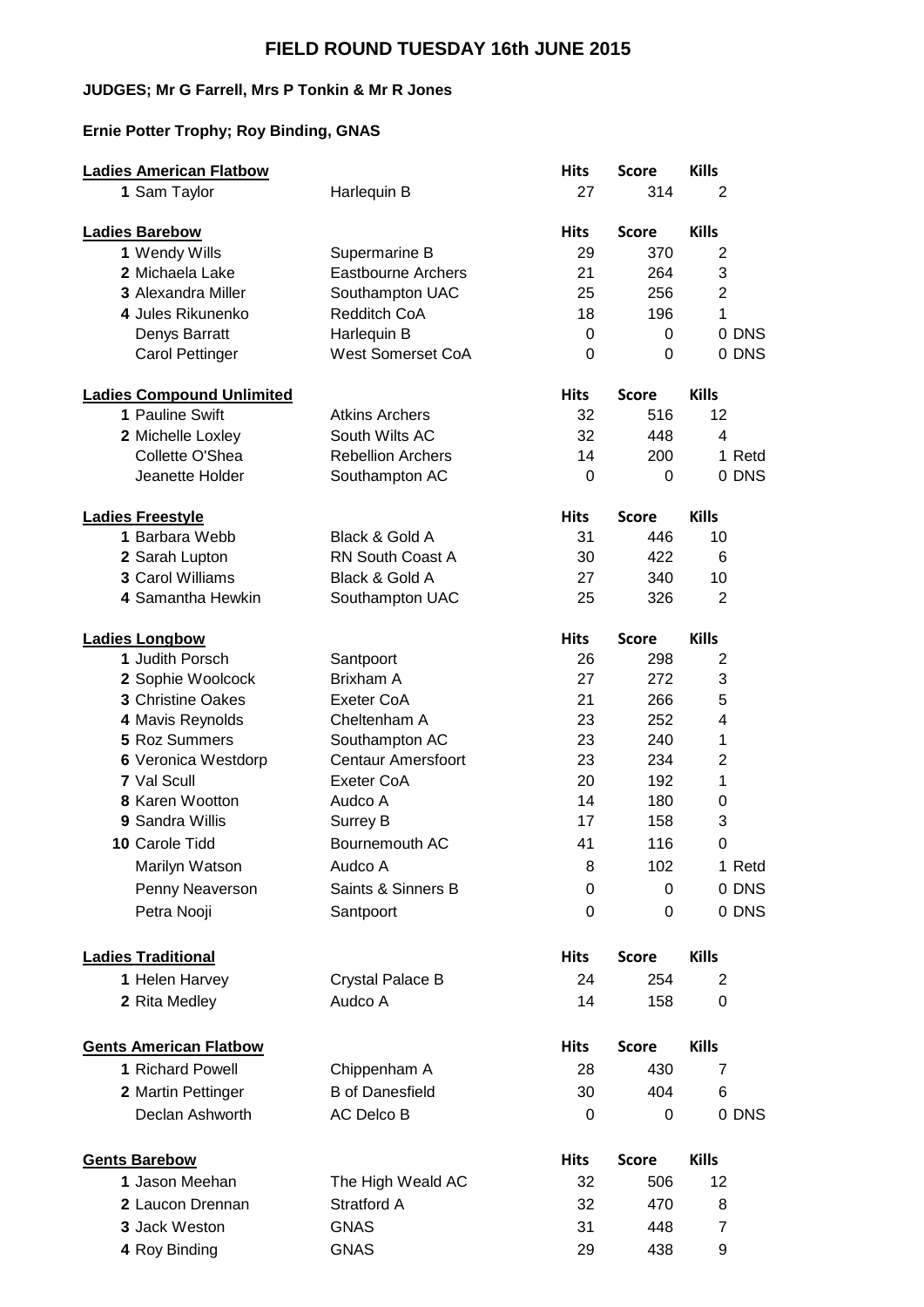## **FIELD ROUND TUESDAY 16th JUNE 2015**

#### **JUDGES; Mr G Farrell, Mrs P Tonkin & Mr R Jones**

## **Ernie Potter Trophy; Roy Binding, GNAS**

| <b>Ladies American Flatbow</b>   |                           | <b>Hits</b> | <b>Score</b> | <b>Kills</b>    |
|----------------------------------|---------------------------|-------------|--------------|-----------------|
| 1 Sam Taylor                     | Harlequin B               | 27          | 314          | 2               |
| <b>Ladies Barebow</b>            |                           | <b>Hits</b> | <b>Score</b> | <b>Kills</b>    |
| 1 Wendy Wills                    | Supermarine B             | 29          | 370          | 2               |
| 2 Michaela Lake                  | <b>Eastbourne Archers</b> | 21          | 264          | 3               |
| <b>3 Alexandra Miller</b>        | Southampton UAC           | 25          | 256          | $\overline{2}$  |
| 4 Jules Rikunenko                | <b>Redditch CoA</b>       | 18          | 196          | 1               |
| Denys Barratt                    | Harlequin B               | 0           | 0            | 0 DNS           |
| <b>Carol Pettinger</b>           | <b>West Somerset CoA</b>  | $\Omega$    | 0            | 0 DNS           |
| <b>Ladies Compound Unlimited</b> |                           | <b>Hits</b> | <b>Score</b> | <b>Kills</b>    |
| 1 Pauline Swift                  | <b>Atkins Archers</b>     | 32          | 516          | 12 <sup>2</sup> |
| 2 Michelle Loxley                | South Wilts AC            | 32          | 448          | 4               |
| Collette O'Shea                  | <b>Rebellion Archers</b>  | 14          | 200          | 1 Retd          |
| Jeanette Holder                  | Southampton AC            | 0           | 0            | 0 DNS           |
| <b>Ladies Freestyle</b>          |                           | <b>Hits</b> | <b>Score</b> | <b>Kills</b>    |
| 1 Barbara Webb                   | Black & Gold A            | 31          | 446          | 10              |
| 2 Sarah Lupton                   | <b>RN South Coast A</b>   | 30          | 422          | 6               |
| 3 Carol Williams                 | Black & Gold A            | 27          | 340          | 10              |
| 4 Samantha Hewkin                | Southampton UAC           | 25          | 326          | 2               |
| <b>Ladies Longbow</b>            |                           | <b>Hits</b> | <b>Score</b> | <b>Kills</b>    |
| 1 Judith Porsch                  | Santpoort                 | 26          | 298          | 2               |
| 2 Sophie Woolcock                | Brixham A                 | 27          | 272          | 3               |
| <b>3 Christine Oakes</b>         | Exeter CoA                | 21          | 266          | 5               |
| 4 Mavis Reynolds                 | Cheltenham A              | 23          | 252          | 4               |
| 5 Roz Summers                    | Southampton AC            | 23          | 240          | 1               |
| 6 Veronica Westdorp              | <b>Centaur Amersfoort</b> | 23          | 234          | $\overline{2}$  |
| 7 Val Scull                      | Exeter CoA                | 20          | 192          | 1               |
| 8 Karen Wootton                  | Audco A                   | 14          | 180          | 0               |
| 9 Sandra Willis                  | Surrey B                  | 17          | 158          | 3               |
| 10 Carole Tidd                   | Bournemouth AC            | 41          | 116          | 0               |
| Marilyn Watson                   | Audco A                   | 8           | 102          | 1 Retd          |
|                                  | Saints & Sinners B        | 0           | $\Omega$     | 0 DNS           |
| Penny Neaverson                  |                           |             |              |                 |
| Petra Nooji                      | Santpoort                 | 0           | 0            | 0 DNS           |
| <b>Ladies Traditional</b>        |                           | <b>Hits</b> | <b>Score</b> | <b>Kills</b>    |
| 1 Helen Harvey                   | <b>Crystal Palace B</b>   | 24          | 254          | 2               |
| 2 Rita Medley                    | Audco A                   | 14          | 158          | 0               |
| <b>Gents American Flatbow</b>    |                           | <b>Hits</b> | <b>Score</b> | <b>Kills</b>    |
| 1 Richard Powell                 | Chippenham A              | 28          | 430          | 7               |
| 2 Martin Pettinger               | <b>B</b> of Danesfield    | 30          | 404          | 6               |
| Declan Ashworth                  | AC Delco B                | 0           | 0            | 0 DNS           |
|                                  |                           |             |              |                 |
| <b>Gents Barebow</b>             |                           | <b>Hits</b> | <b>Score</b> | <b>Kills</b>    |
| 1 Jason Meehan                   | The High Weald AC         | 32          | 506          | 12              |
| 2 Laucon Drennan                 | Stratford A               | 32          | 470          | 8               |
| 3 Jack Weston                    | <b>GNAS</b>               | 31          | 448          | $\overline{7}$  |
| 4 Roy Binding                    | <b>GNAS</b>               | 29          | 438          | 9               |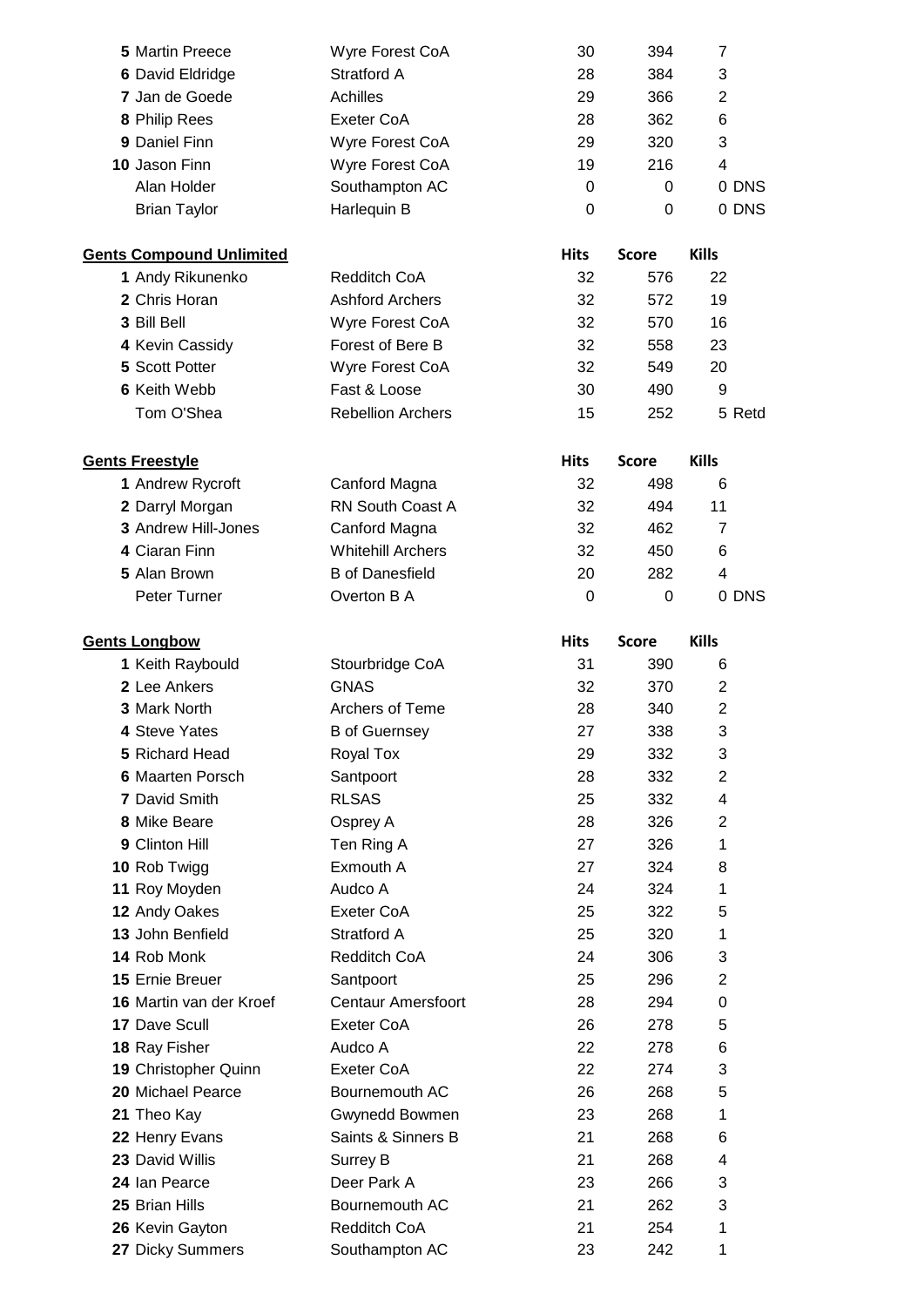| 5 Martin Preece                 | Wyre Forest CoA           | 30               | 394          | 7              |
|---------------------------------|---------------------------|------------------|--------------|----------------|
| 6 David Eldridge                | Stratford A               | 28               | 384          | 3              |
| 7 Jan de Goede                  | <b>Achilles</b>           | 29               | 366          | 2              |
| 8 Philip Rees                   | <b>Exeter CoA</b>         | 28               | 362          | 6              |
| 9 Daniel Finn                   | Wyre Forest CoA           | 29               | 320          | 3              |
| 10 Jason Finn                   | Wyre Forest CoA           | 19               | 216          | 4              |
| Alan Holder                     | Southampton AC            | $\boldsymbol{0}$ | 0            | 0 DNS          |
| <b>Brian Taylor</b>             | Harlequin B               | 0                | 0            | 0 DNS          |
| <b>Gents Compound Unlimited</b> |                           | <b>Hits</b>      | <b>Score</b> | <b>Kills</b>   |
| 1 Andy Rikunenko                | <b>Redditch CoA</b>       | 32               | 576          | 22             |
| 2 Chris Horan                   | <b>Ashford Archers</b>    | 32               | 572          | 19             |
| 3 Bill Bell                     | Wyre Forest CoA           | 32               | 570          | 16             |
| 4 Kevin Cassidy                 | Forest of Bere B          | 32               | 558          | 23             |
| 5 Scott Potter                  | Wyre Forest CoA           | 32               | 549          | 20             |
| <b>6 Keith Webb</b>             | Fast & Loose              | 30               | 490          | 9              |
| Tom O'Shea                      | <b>Rebellion Archers</b>  | 15               | 252          | 5 Retd         |
| <b>Gents Freestyle</b>          |                           | <b>Hits</b>      | <b>Score</b> | <b>Kills</b>   |
| 1 Andrew Rycroft                | Canford Magna             | 32               | 498          | 6              |
| 2 Darryl Morgan                 | RN South Coast A          | 32               | 494          | 11             |
| 3 Andrew Hill-Jones             | Canford Magna             | 32               | 462          | $\overline{7}$ |
| 4 Ciaran Finn                   | <b>Whitehill Archers</b>  | 32               | 450          | 6              |
| 5 Alan Brown                    | <b>B</b> of Danesfield    | 20               | 282          | 4              |
| Peter Turner                    | Overton B A               | $\mathbf 0$      | 0            | 0 DNS          |
| <b>Gents Longbow</b>            |                           | <b>Hits</b>      | <b>Score</b> | <b>Kills</b>   |
| 1 Keith Raybould                | Stourbridge CoA           | 31               | 390          | 6              |
| 2 Lee Ankers                    | <b>GNAS</b>               | 32               | 370          | $\overline{2}$ |
| 3 Mark North                    | Archers of Teme           | 28               | 340          | $\overline{2}$ |
| 4 Steve Yates                   | <b>B</b> of Guernsey      | 27               | 338          | 3              |
| 5 Richard Head                  | Royal Tox                 | 29               | 332          | 3              |
| <b>6 Maarten Porsch</b>         | Santpoort                 | 28               | 332          | $\overline{2}$ |
| 7 David Smith                   | <b>RLSAS</b>              | 25               | 332          | 4              |
| 8 Mike Beare                    | Osprey A                  | 28               | 326          | $\overline{2}$ |
| 9 Clinton Hill                  | Ten Ring A                | 27               | 326          | 1              |
| 10 Rob Twigg                    | Exmouth A                 | 27               | 324          | 8              |
| 11 Roy Moyden                   | Audco A                   | 24               | 324          | 1              |
| 12 Andy Oakes                   | Exeter CoA                | 25               | 322          | 5              |
| 13 John Benfield                | Stratford A               | 25               | 320          | 1              |
| 14 Rob Monk                     | Redditch CoA              | 24               | 306          | 3              |
| 15 Ernie Breuer                 | Santpoort                 | 25               | 296          | $\overline{c}$ |
| 16 Martin van der Kroef         | <b>Centaur Amersfoort</b> | 28               | 294          | 0              |
| 17 Dave Scull                   | <b>Exeter CoA</b>         | 26               | 278          | 5              |
| 18 Ray Fisher                   | Audco A                   | 22               | 278          | 6              |
| 19 Christopher Quinn            | <b>Exeter CoA</b>         | 22               | 274          | 3              |
| 20 Michael Pearce               | Bournemouth AC            | 26               | 268          | 5              |
| 21 Theo Kay                     | Gwynedd Bowmen            | 23               | 268          | 1              |
| 22 Henry Evans                  | Saints & Sinners B        | 21               | 268          | 6              |
| 23 David Willis                 | Surrey B                  | 21               | 268          | 4              |
| 24 Ian Pearce                   | Deer Park A               | 23               | 266          | 3              |
| 25 Brian Hills                  | Bournemouth AC            | 21               | 262          | 3              |
| 26 Kevin Gayton                 | Redditch CoA              | 21               | 254          | 1              |
| 27 Dicky Summers                | Southampton AC            | 23               | 242          | 1              |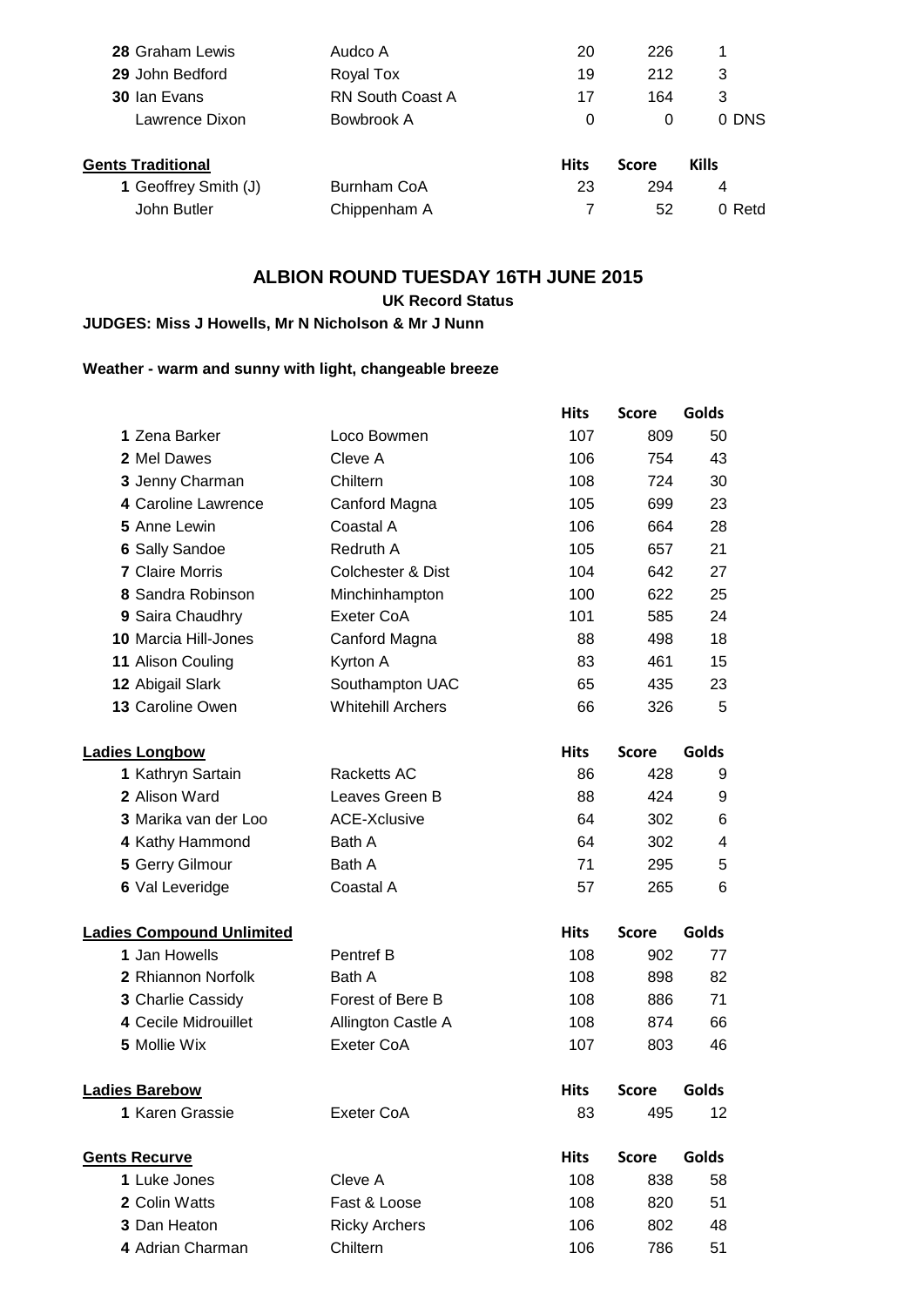| <b>28 Graham Lewis</b>   | Audco A                 | 20          | 226          |              |
|--------------------------|-------------------------|-------------|--------------|--------------|
| 29 John Bedford          | Royal Tox               | 19          | 212          | 3            |
| 30 Ian Evans             | <b>RN South Coast A</b> | 17          | 164          | 3            |
| Lawrence Dixon           | Bowbrook A              | 0           | 0            | 0 DNS        |
| <b>Gents Traditional</b> |                         | <b>Hits</b> | <b>Score</b> | <b>Kills</b> |
| 1 Geoffrey Smith (J)     | Burnham CoA             | 23          | 294          | 4            |
| John Butler              |                         |             | 52           | 0 Retd       |
|                          | Chippenham A            |             |              |              |

## **ALBION ROUND TUESDAY 16TH JUNE 2015**

## **UK Record Status**

## **JUDGES: Miss J Howells, Mr N Nicholson & Mr J Nunn**

## **Weather - warm and sunny with light, changeable breeze**

|                                  |                              | <b>Hits</b> | <b>Score</b> | Golds                   |
|----------------------------------|------------------------------|-------------|--------------|-------------------------|
| 1 Zena Barker                    | Loco Bowmen                  | 107         | 809          | 50                      |
| 2 Mel Dawes                      | Cleve A                      | 106         | 754          | 43                      |
| 3 Jenny Charman                  | Chiltern                     | 108         | 724          | 30                      |
| 4 Caroline Lawrence              | Canford Magna                | 105         | 699          | 23                      |
| 5 Anne Lewin                     | Coastal A                    | 106         | 664          | 28                      |
| 6 Sally Sandoe                   | Redruth A                    | 105         | 657          | 21                      |
| <b>7 Claire Morris</b>           | <b>Colchester &amp; Dist</b> | 104         | 642          | 27                      |
| 8 Sandra Robinson                | Minchinhampton               | 100         | 622          | 25                      |
| 9 Saira Chaudhry                 | Exeter CoA                   | 101         | 585          | 24                      |
| <b>10 Marcia Hill-Jones</b>      | Canford Magna                | 88          | 498          | 18                      |
| 11 Alison Couling                | Kyrton A                     | 83          | 461          | 15                      |
| 12 Abigail Slark                 | Southampton UAC              | 65          | 435          | 23                      |
| 13 Caroline Owen                 | <b>Whitehill Archers</b>     | 66          | 326          | 5                       |
| <b>Ladies Longbow</b>            |                              | <b>Hits</b> | <b>Score</b> | Golds                   |
| 1 Kathryn Sartain                | Racketts AC                  | 86          | 428          | 9                       |
| 2 Alison Ward                    | Leaves Green B               | 88          | 424          | 9                       |
| 3 Marika van der Loo             | <b>ACE-Xclusive</b>          | 64          | 302          | 6                       |
| 4 Kathy Hammond                  | Bath A                       | 64          | 302          | $\overline{\mathbf{4}}$ |
| 5 Gerry Gilmour                  | Bath A                       | 71          | 295          | 5                       |
| 6 Val Leveridge                  | Coastal A                    | 57          | 265          | 6                       |
| <b>Ladies Compound Unlimited</b> |                              | <b>Hits</b> | <b>Score</b> | Golds                   |
| 1 Jan Howells                    | Pentref B                    | 108         | 902          | 77                      |
| 2 Rhiannon Norfolk               | Bath A                       | 108         | 898          | 82                      |
| 3 Charlie Cassidy                | Forest of Bere B             | 108         | 886          | 71                      |
| 4 Cecile Midrouillet             | Allington Castle A           | 108         | 874          | 66                      |
| 5 Mollie Wix                     | Exeter CoA                   | 107         | 803          | 46                      |
| <b>Ladies Barebow</b>            |                              | <b>Hits</b> | <b>Score</b> | Golds                   |
| 1 Karen Grassie                  | Exeter CoA                   | 83          | 495          | 12                      |
| <b>Gents Recurve</b>             |                              | <b>Hits</b> | <b>Score</b> | Golds                   |
| 1 Luke Jones                     | Cleve A                      | 108         | 838          | 58                      |
| 2 Colin Watts                    | Fast & Loose                 | 108         | 820          | 51                      |
| 3 Dan Heaton                     | <b>Ricky Archers</b>         | 106         | 802          | 48                      |
| 4 Adrian Charman                 | Chiltern                     | 106         | 786          | 51                      |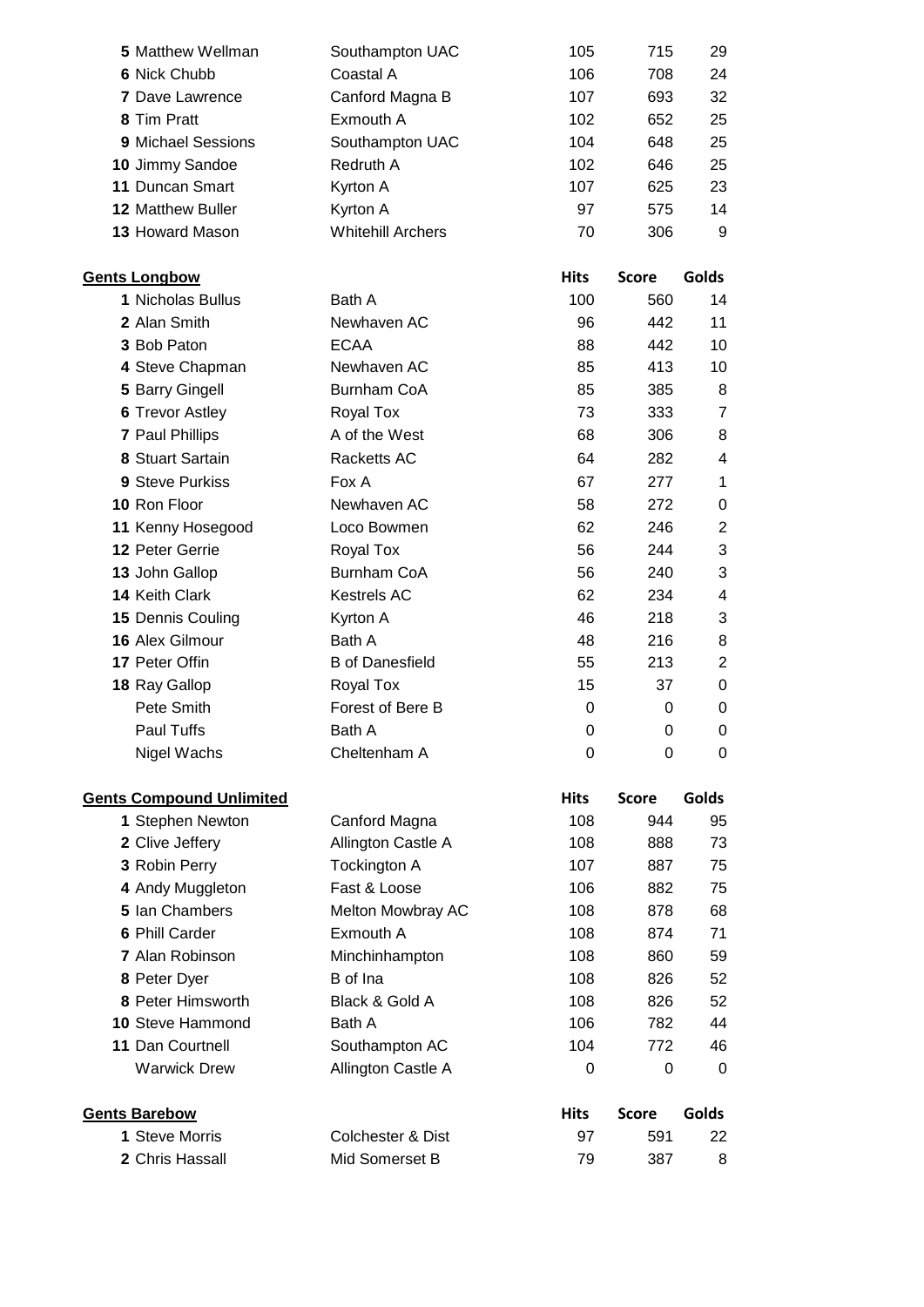| <b>5 Matthew Wellman</b>                    | Southampton UAC          | 105         | 715          | 29               |
|---------------------------------------------|--------------------------|-------------|--------------|------------------|
| 6 Nick Chubb                                | Coastal A                | 106         | 708          | 24               |
| <b>7 Dave Lawrence</b>                      | Canford Magna B          | 107         | 693          | 32               |
| 8 Tim Pratt                                 | Exmouth A                | 102         | 652          | 25               |
| 9 Michael Sessions                          | Southampton UAC          | 104         | 648          | 25               |
| 10 Jimmy Sandoe                             | Redruth A                | 102         | 646          | 25               |
| 11 Duncan Smart                             | Kyrton A                 | 107         | 625          | 23               |
| 12 Matthew Buller                           | Kyrton A                 | 97          | 575          | 14               |
| 13 Howard Mason                             | <b>Whitehill Archers</b> | 70          | 306          | 9                |
|                                             |                          |             |              |                  |
| <b>Gents Longbow</b>                        |                          | <b>Hits</b> | <b>Score</b> | Golds            |
| 1 Nicholas Bullus                           | Bath A                   | 100         | 560          | 14               |
| 2 Alan Smith                                | Newhaven AC              | 96          | 442          | 11               |
| 3 Bob Paton                                 | <b>ECAA</b>              | 88          | 442          | 10               |
| 4 Steve Chapman                             | Newhaven AC              | 85          | 413          | 10               |
| 5 Barry Gingell                             | <b>Burnham CoA</b>       | 85          | 385          | 8                |
| <b>6 Trevor Astley</b>                      | Royal Tox                | 73          | 333          | $\overline{7}$   |
| 7 Paul Phillips                             | A of the West            | 68          | 306          | 8                |
| 8 Stuart Sartain                            | Racketts AC              | 64          | 282          | 4                |
| 9 Steve Purkiss                             | Fox A                    | 67          | 277          | 1                |
| 10 Ron Floor                                | Newhaven AC              | 58          | 272          | $\pmb{0}$        |
| 11 Kenny Hosegood                           | Loco Bowmen              | 62          | 246          | $\overline{2}$   |
| 12 Peter Gerrie                             | Royal Tox                | 56          | 244          | 3                |
| 13 John Gallop                              | Burnham CoA              | 56          | 240          | 3                |
| 14 Keith Clark                              | <b>Kestrels AC</b>       | 62          | 234          | 4                |
| 15 Dennis Couling                           | Kyrton A                 | 46          | 218          | 3                |
| 16 Alex Gilmour                             | Bath A                   | 48          | 216          | 8                |
| 17 Peter Offin                              | <b>B</b> of Danesfield   | 55          | 213          | 2                |
| 18 Ray Gallop                               | Royal Tox                | 15          | 37           | 0                |
| Pete Smith                                  | Forest of Bere B         | 0           | 0            | $\mathbf 0$      |
| Paul Tuffs                                  | Bath A                   | 0           | 0            | 0                |
| Nigel Wachs                                 | Cheltenham A             | 0           | 0            | 0                |
|                                             |                          |             |              |                  |
| <b>Gents Compound Unlimited</b>             |                          | <b>Hits</b> | <b>Score</b> | <b>Golds</b>     |
| 1 Stephen Newton                            | Canford Magna            | 108         | 944          | 95               |
| 2 Clive Jeffery                             | Allington Castle A       | 108         | 888          | 73               |
| 3 Robin Perry                               | Tockington A             | 107         | 887          | 75               |
| 4 Andy Muggleton<br>5 Ian Chambers          | Fast & Loose             | 106         | 882          | 75               |
|                                             | Melton Mowbray AC        | 108         | 878          | 68               |
| 6 Phill Carder<br>7 Alan Robinson           | Exmouth A                | 108         | 874          | 71               |
|                                             | Minchinhampton           | 108         | 860          | 59               |
| 8 Peter Dyer<br>8 Peter Himsworth           | B of Ina                 | 108         | 826          | 52               |
|                                             | Black & Gold A           | 108<br>106  | 826          | 52               |
| <b>10 Steve Hammond</b><br>11 Dan Courtnell | Bath A<br>Southampton AC | 104         | 782<br>772   | 44<br>46         |
|                                             |                          |             |              |                  |
| <b>Warwick Drew</b>                         | Allington Castle A       | 0           | 0            | $\boldsymbol{0}$ |
| <b>Gents Barebow</b>                        |                          | <b>Hits</b> | <b>Score</b> | Golds            |
| 1 Steve Morris                              | Colchester & Dist        | 97          | 591          | 22               |
| 2 Chris Hassall                             | Mid Somerset B           | 79          | 387          | 8                |
|                                             |                          |             |              |                  |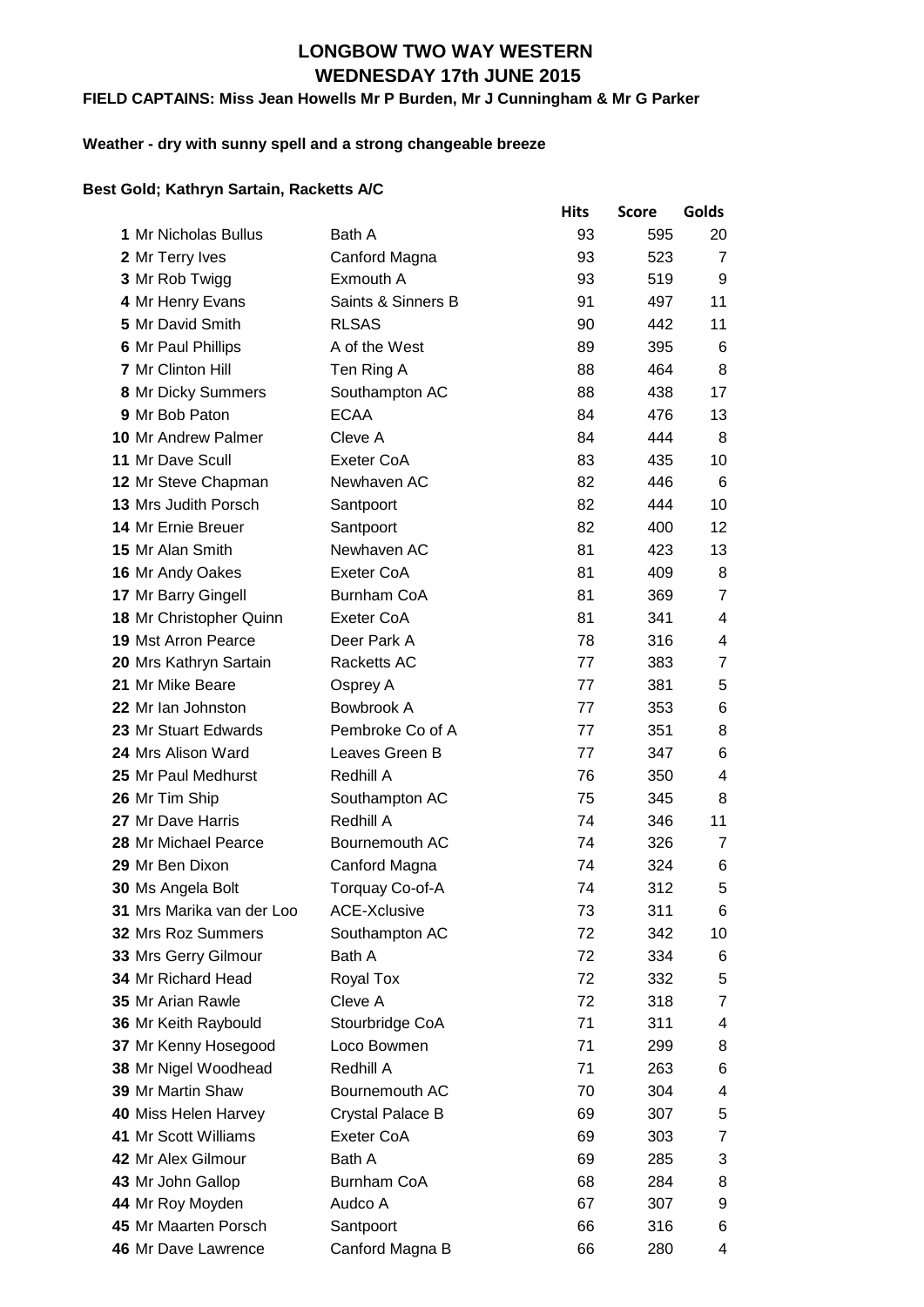## **WEDNESDAY 17th JUNE 2015 LONGBOW TWO WAY WESTERN**

#### **FIELD CAPTAINS: Miss Jean Howells Mr P Burden, Mr J Cunningham & Mr G Parker**

#### **Weather - dry with sunny spell and a strong changeable breeze**

#### **Best Gold; Kathryn Sartain, Racketts A/C**

|                             |                     | <b>Hits</b> | <b>Score</b> | Golds          |
|-----------------------------|---------------------|-------------|--------------|----------------|
| 1 Mr Nicholas Bullus        | Bath A              | 93          | 595          | 20             |
| 2 Mr Terry Ives             | Canford Magna       | 93          | 523          | $\overline{7}$ |
| 3 Mr Rob Twigg              | Exmouth A           | 93          | 519          | 9              |
| 4 Mr Henry Evans            | Saints & Sinners B  | 91          | 497          | 11             |
| 5 Mr David Smith            | <b>RLSAS</b>        | 90          | 442          | 11             |
| 6 Mr Paul Phillips          | A of the West       | 89          | 395          | 6              |
| 7 Mr Clinton Hill           | Ten Ring A          | 88          | 464          | 8              |
| 8 Mr Dicky Summers          | Southampton AC      | 88          | 438          | 17             |
| 9 Mr Bob Paton              | <b>ECAA</b>         | 84          | 476          | 13             |
| <b>10 Mr Andrew Palmer</b>  | Cleve A             | 84          | 444          | 8              |
| <b>11 Mr Dave Scull</b>     | Exeter CoA          | 83          | 435          | 10             |
| 12 Mr Steve Chapman         | Newhaven AC         | 82          | 446          | 6              |
| <b>13 Mrs Judith Porsch</b> | Santpoort           | 82          | 444          | 10             |
| 14 Mr Ernie Breuer          | Santpoort           | 82          | 400          | 12             |
| 15 Mr Alan Smith            | Newhaven AC         | 81          | 423          | 13             |
| 16 Mr Andy Oakes            | Exeter CoA          | 81          | 409          | 8              |
| 17 Mr Barry Gingell         | Burnham CoA         | 81          | 369          | $\overline{7}$ |
| 18 Mr Christopher Quinn     | Exeter CoA          | 81          | 341          | 4              |
| <b>19 Mst Arron Pearce</b>  | Deer Park A         | 78          | 316          | 4              |
| 20 Mrs Kathryn Sartain      | Racketts AC         | 77          | 383          | $\overline{7}$ |
| 21 Mr Mike Beare            | Osprey A            | 77          | 381          | 5              |
| 22 Mr Ian Johnston          | Bowbrook A          | 77          | 353          | 6              |
| 23 Mr Stuart Edwards        | Pembroke Co of A    | 77          | 351          | 8              |
| 24 Mrs Alison Ward          | Leaves Green B      | 77          | 347          | 6              |
| 25 Mr Paul Medhurst         | Redhill A           | 76          | 350          | 4              |
| 26 Mr Tim Ship              | Southampton AC      | 75          | 345          | 8              |
| 27 Mr Dave Harris           | Redhill A           | 74          | 346          | 11             |
| 28 Mr Michael Pearce        | Bournemouth AC      | 74          | 326          | 7              |
| 29 Mr Ben Dixon             | Canford Magna       | 74          | 324          | 6              |
| 30 Ms Angela Bolt           | Torquay Co-of-A     | 74          | 312          | 5              |
| 31 Mrs Marika van der Loo   | <b>ACE-Xclusive</b> | 73          | 311          | 6              |
| 32 Mrs Roz Summers          | Southampton AC      | 72          | 342          | 10             |
| 33 Mrs Gerry Gilmour        | Bath A              | 72          | 334          | 6              |
| 34 Mr Richard Head          | Royal Tox           | 72          | 332          | 5              |
| 35 Mr Arian Rawle           | Cleve A             | 72          | 318          | 7              |
| 36 Mr Keith Raybould        | Stourbridge CoA     | 71          | 311          | 4              |
| 37 Mr Kenny Hosegood        | Loco Bowmen         | 71          | 299          | 8              |
| 38 Mr Nigel Woodhead        | Redhill A           | 71          | 263          | 6              |
| 39 Mr Martin Shaw           | Bournemouth AC      | 70          | 304          | 4              |
| 40 Miss Helen Harvey        | Crystal Palace B    | 69          | 307          | 5              |
| 41 Mr Scott Williams        | Exeter CoA          | 69          | 303          | $\overline{7}$ |
| 42 Mr Alex Gilmour          | Bath A              | 69          | 285          | 3              |
| 43 Mr John Gallop           | <b>Burnham CoA</b>  | 68          | 284          | 8              |
| 44 Mr Roy Moyden            | Audco A             | 67          | 307          | 9              |
| 45 Mr Maarten Porsch        | Santpoort           | 66          | 316          | 6              |
| 46 Mr Dave Lawrence         | Canford Magna B     | 66          | 280          | 4              |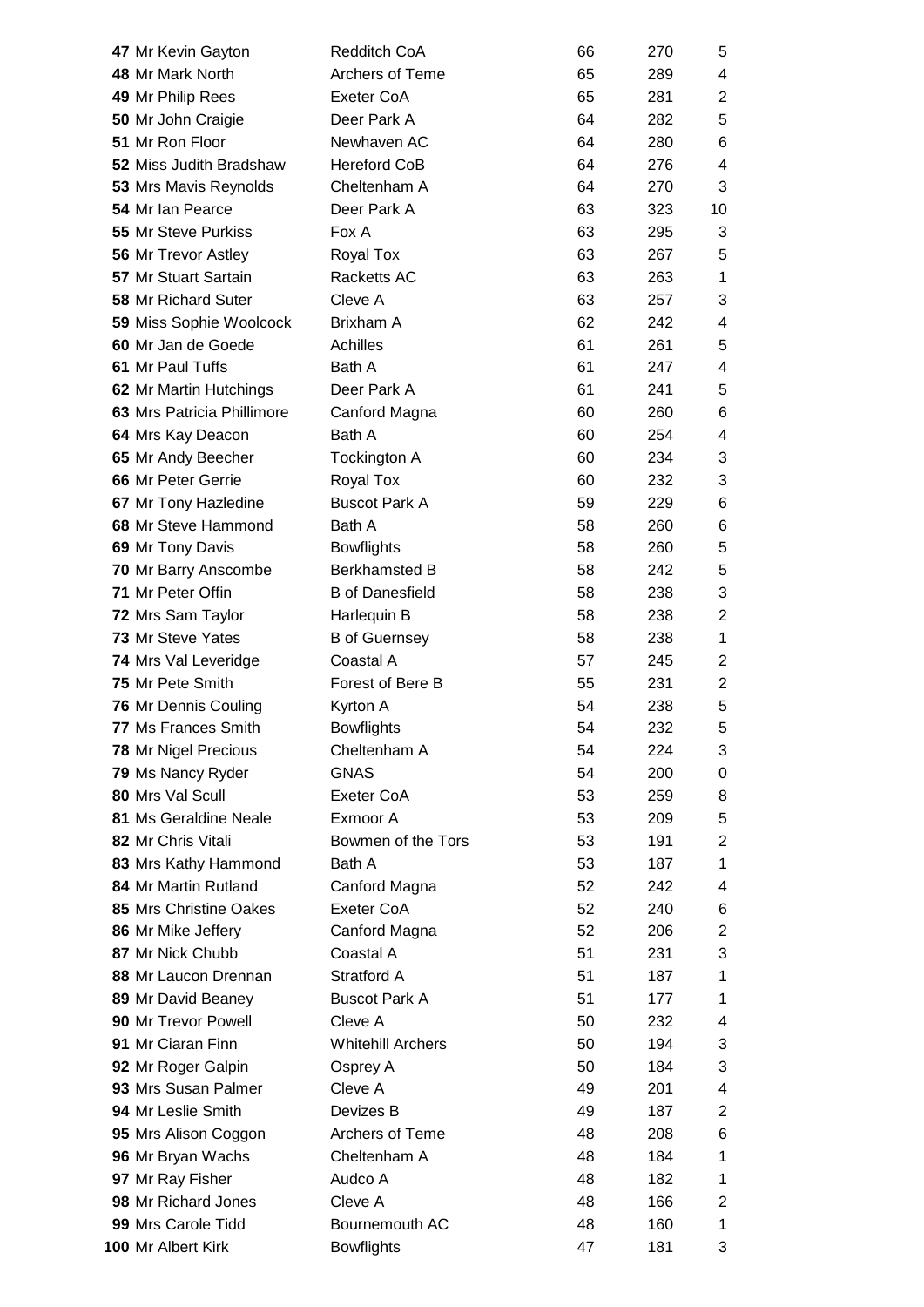| 47 Mr Kevin Gayton            | <b>Redditch CoA</b>      | 66 | 270 | 5              |
|-------------------------------|--------------------------|----|-----|----------------|
| 48 Mr Mark North              | Archers of Teme          | 65 | 289 | 4              |
| 49 Mr Philip Rees             | Exeter CoA               | 65 | 281 | $\overline{2}$ |
| 50 Mr John Craigie            | Deer Park A              | 64 | 282 | 5              |
| 51 Mr Ron Floor               | Newhaven AC              | 64 | 280 | 6              |
| 52 Miss Judith Bradshaw       | <b>Hereford CoB</b>      | 64 | 276 | 4              |
| 53 Mrs Mavis Reynolds         | Cheltenham A             | 64 | 270 | 3              |
| 54 Mr Ian Pearce              | Deer Park A              | 63 | 323 | 10             |
| <b>55 Mr Steve Purkiss</b>    | Fox A                    | 63 | 295 | 3              |
| 56 Mr Trevor Astley           | <b>Royal Tox</b>         | 63 | 267 | 5              |
| 57 Mr Stuart Sartain          | Racketts AC              | 63 | 263 | 1              |
| <b>58 Mr Richard Suter</b>    | Cleve A                  | 63 | 257 | 3              |
| 59 Miss Sophie Woolcock       | Brixham A                | 62 | 242 | 4              |
| 60 Mr Jan de Goede            | Achilles                 | 61 | 261 | 5              |
| 61 Mr Paul Tuffs              | Bath A                   | 61 | 247 | 4              |
| 62 Mr Martin Hutchings        | Deer Park A              | 61 | 241 | 5              |
| 63 Mrs Patricia Phillimore    | Canford Magna            | 60 | 260 | 6              |
| 64 Mrs Kay Deacon             | Bath A                   | 60 | 254 | 4              |
| 65 Mr Andy Beecher            | Tockington A             | 60 | 234 | 3              |
| 66 Mr Peter Gerrie            | Royal Tox                | 60 | 232 | 3              |
| 67 Mr Tony Hazledine          | <b>Buscot Park A</b>     | 59 | 229 | 6              |
| 68 Mr Steve Hammond           | Bath A                   | 58 | 260 | 6              |
| 69 Mr Tony Davis              | <b>Bowflights</b>        | 58 | 260 | 5              |
| 70 Mr Barry Anscombe          | <b>Berkhamsted B</b>     | 58 | 242 | 5              |
| 71 Mr Peter Offin             | <b>B</b> of Danesfield   | 58 | 238 | 3              |
| 72 Mrs Sam Taylor             | Harlequin B              | 58 | 238 | $\overline{2}$ |
| 73 Mr Steve Yates             | <b>B</b> of Guernsey     | 58 | 238 | 1              |
| 74 Mrs Val Leveridge          | Coastal A                | 57 | 245 | $\overline{2}$ |
| 75 Mr Pete Smith              | Forest of Bere B         | 55 | 231 | $\overline{2}$ |
| 76 Mr Dennis Couling          | Kyrton A                 | 54 | 238 | 5              |
| 77 Ms Frances Smith           | <b>Bowflights</b>        | 54 | 232 | 5              |
| 78 Mr Nigel Precious          | Cheltenham A             | 54 | 224 | 3              |
| 79 Ms Nancy Ryder             | <b>GNAS</b>              | 54 | 200 | 0              |
| 80 Mrs Val Scull              | Exeter CoA               | 53 | 259 | 8              |
| 81 Ms Geraldine Neale         | Exmoor A                 | 53 | 209 | 5              |
| 82 Mr Chris Vitali            | Bowmen of the Tors       | 53 | 191 | $\overline{2}$ |
| 83 Mrs Kathy Hammond          | Bath A                   | 53 | 187 | 1              |
| 84 Mr Martin Rutland          | Canford Magna            | 52 | 242 | 4              |
| <b>85 Mrs Christine Oakes</b> | Exeter CoA               | 52 | 240 | 6              |
| 86 Mr Mike Jeffery            | Canford Magna            | 52 | 206 | $\overline{c}$ |
| 87 Mr Nick Chubb              | Coastal A                | 51 | 231 | 3              |
| 88 Mr Laucon Drennan          | Stratford A              | 51 | 187 | 1              |
| 89 Mr David Beaney            | <b>Buscot Park A</b>     | 51 | 177 | 1              |
| 90 Mr Trevor Powell           | Cleve A                  | 50 | 232 | 4              |
| 91 Mr Ciaran Finn             | <b>Whitehill Archers</b> | 50 | 194 | 3              |
| 92 Mr Roger Galpin            | Osprey A                 | 50 | 184 | 3              |
| 93 Mrs Susan Palmer           | Cleve A                  | 49 | 201 | 4              |
| 94 Mr Leslie Smith            | Devizes B                | 49 | 187 | $\overline{c}$ |
| 95 Mrs Alison Coggon          | <b>Archers of Teme</b>   | 48 | 208 | 6              |
| 96 Mr Bryan Wachs             | Cheltenham A             | 48 | 184 | 1              |
| 97 Mr Ray Fisher              | Audco A                  | 48 | 182 | 1              |
| 98 Mr Richard Jones           | Cleve A                  | 48 | 166 | $\overline{c}$ |
| 99 Mrs Carole Tidd            | Bournemouth AC           | 48 | 160 | 1              |
| 100 Mr Albert Kirk            | <b>Bowflights</b>        | 47 | 181 | 3              |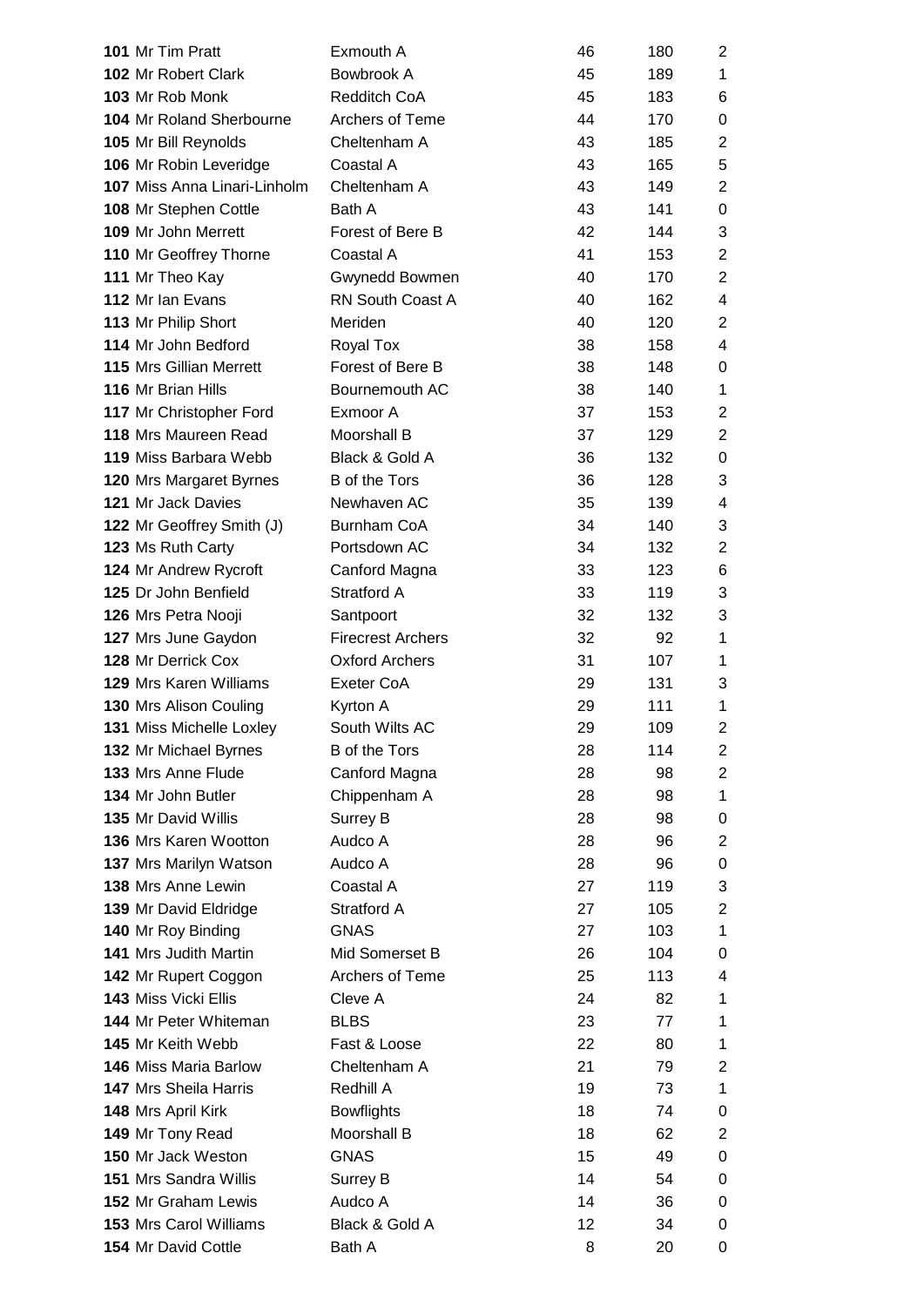| 101 Mr Tim Pratt                    | Exmouth A                | 46 | 180 | 2                       |
|-------------------------------------|--------------------------|----|-----|-------------------------|
| <b>102 Mr Robert Clark</b>          | Bowbrook A               | 45 | 189 | 1                       |
| 103 Mr Rob Monk                     | Redditch CoA             | 45 | 183 | 6                       |
| <b>104 Mr Roland Sherbourne</b>     | Archers of Teme          | 44 | 170 | $\pmb{0}$               |
| 105 Mr Bill Reynolds                | Cheltenham A             | 43 | 185 | $\overline{2}$          |
| 106 Mr Robin Leveridge              | Coastal A                | 43 | 165 | 5                       |
| <b>107 Miss Anna Linari-Linholm</b> | Cheltenham A             | 43 | 149 | $\overline{c}$          |
| 108 Mr Stephen Cottle               | Bath A                   | 43 | 141 | $\pmb{0}$               |
| 109 Mr John Merrett                 | Forest of Bere B         | 42 | 144 | 3                       |
| 110 Mr Geoffrey Thorne              | Coastal A                | 41 | 153 | $\overline{2}$          |
| 111 Mr Theo Kay                     | Gwynedd Bowmen           | 40 | 170 | $\overline{2}$          |
| 112 Mr Ian Evans                    | RN South Coast A         | 40 | 162 | 4                       |
| 113 Mr Philip Short                 | Meriden                  | 40 | 120 | $\overline{2}$          |
| 114 Mr John Bedford                 | Royal Tox                | 38 | 158 | 4                       |
| <b>115 Mrs Gillian Merrett</b>      | Forest of Bere B         | 38 | 148 | 0                       |
| 116 Mr Brian Hills                  | Bournemouth AC           | 38 | 140 | $\mathbf 1$             |
| 117 Mr Christopher Ford             | Exmoor A                 | 37 | 153 | $\overline{2}$          |
| 118 Mrs Maureen Read                | Moorshall B              | 37 | 129 | $\overline{c}$          |
| 119 Miss Barbara Webb               | Black & Gold A           | 36 | 132 | 0                       |
| 120 Mrs Margaret Byrnes             | <b>B</b> of the Tors     | 36 | 128 | 3                       |
| 121 Mr Jack Davies                  | Newhaven AC              | 35 | 139 | $\overline{\mathbf{4}}$ |
| 122 Mr Geoffrey Smith (J)           | <b>Burnham CoA</b>       | 34 | 140 | 3                       |
| 123 Ms Ruth Carty                   | Portsdown AC             | 34 | 132 | $\overline{2}$          |
| 124 Mr Andrew Rycroft               | Canford Magna            | 33 | 123 | 6                       |
| 125 Dr John Benfield                | Stratford A              | 33 | 119 | 3                       |
| 126 Mrs Petra Nooji                 | Santpoort                | 32 | 132 | 3                       |
| 127 Mrs June Gaydon                 | <b>Firecrest Archers</b> | 32 | 92  | 1                       |
| 128 Mr Derrick Cox                  | <b>Oxford Archers</b>    | 31 | 107 | 1                       |
| <b>129 Mrs Karen Williams</b>       | Exeter CoA               | 29 | 131 | 3                       |
| 130 Mrs Alison Couling              | Kyrton A                 | 29 | 111 | 1                       |
| 131 Miss Michelle Loxley            | South Wilts AC           | 29 | 109 | 2                       |
| 132 Mr Michael Byrnes               | <b>B</b> of the Tors     | 28 | 114 | 2                       |
| 133 Mrs Anne Flude                  | Canford Magna            | 28 | 98  | $\overline{c}$          |
| 134 Mr John Butler                  | Chippenham A             | 28 | 98  | 1                       |
| 135 Mr David Willis                 | Surrey B                 | 28 | 98  | 0                       |
| <b>136 Mrs Karen Wootton</b>        | Audco A                  | 28 | 96  | $\overline{2}$          |
| 137 Mrs Marilyn Watson              | Audco A                  | 28 | 96  | 0                       |
| 138 Mrs Anne Lewin                  | Coastal A                | 27 | 119 | 3                       |
| 139 Mr David Eldridge               | Stratford A              | 27 | 105 | $\overline{2}$          |
| 140 Mr Roy Binding                  | <b>GNAS</b>              | 27 | 103 | 1                       |
| 141 Mrs Judith Martin               | Mid Somerset B           | 26 | 104 | 0                       |
| 142 Mr Rupert Coggon                | Archers of Teme          | 25 | 113 | 4                       |
| <b>143 Miss Vicki Ellis</b>         | Cleve A                  | 24 | 82  | 1                       |
| <b>144 Mr Peter Whiteman</b>        | <b>BLBS</b>              | 23 | 77  | 1                       |
| 145 Mr Keith Webb                   | Fast & Loose             | 22 | 80  | 1                       |
| <b>146 Miss Maria Barlow</b>        | Cheltenham A             | 21 | 79  | $\overline{c}$          |
| <b>147 Mrs Sheila Harris</b>        | Redhill A                | 19 | 73  | 1                       |
| 148 Mrs April Kirk                  | <b>Bowflights</b>        | 18 | 74  | 0                       |
| 149 Mr Tony Read                    | Moorshall B              | 18 | 62  | $\overline{c}$          |
| 150 Mr Jack Weston                  | <b>GNAS</b>              | 15 | 49  | 0                       |
| <b>151 Mrs Sandra Willis</b>        | <b>Surrey B</b>          | 14 | 54  | 0                       |
| <b>152 Mr Graham Lewis</b>          | Audco A                  | 14 | 36  | 0                       |
| 153 Mrs Carol Williams              | Black & Gold A           | 12 | 34  | 0                       |
| 154 Mr David Cottle                 | Bath A                   | 8  | 20  | 0                       |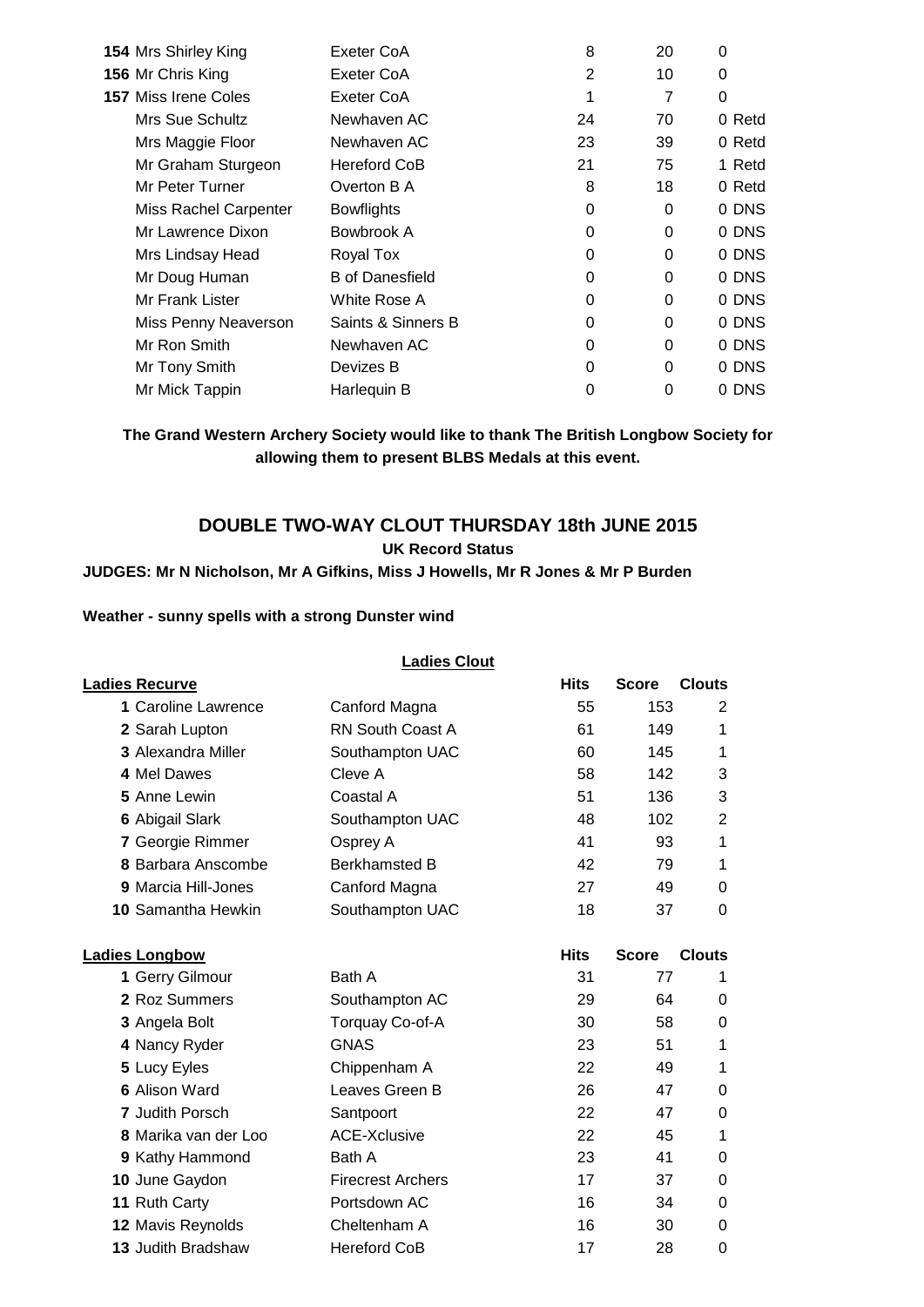| 154 Mrs Shirley King        | Exeter CoA             | 8              | 20       | 0      |
|-----------------------------|------------------------|----------------|----------|--------|
| 156 Mr Chris King           | Exeter CoA             | $\overline{2}$ | 10       | 0      |
| <b>157 Miss Irene Coles</b> | Exeter CoA             | 1              | 7        | 0      |
| Mrs Sue Schultz             | Newhaven AC            | 24             | 70       | 0 Retd |
| Mrs Maggie Floor            | Newhaven AC            | 23             | 39       | 0 Retd |
| Mr Graham Sturgeon          | <b>Hereford CoB</b>    | 21             | 75       | 1 Retd |
| Mr Peter Turner             | Overton B A            | 8              | 18       | 0 Retd |
| Miss Rachel Carpenter       | <b>Bowflights</b>      | 0              | 0        | 0 DNS  |
| Mr Lawrence Dixon           | Bowbrook A             | 0              | 0        | 0 DNS  |
| Mrs Lindsay Head            | Royal Tox              | 0              | $\Omega$ | 0 DNS  |
| Mr Doug Human               | <b>B</b> of Danesfield | 0              | 0        | 0 DNS  |
| Mr Frank Lister             | White Rose A           | 0              | 0        | 0 DNS  |
| Miss Penny Neaverson        | Saints & Sinners B     | 0              | $\Omega$ | 0 DNS  |
| Mr Ron Smith                | Newhaven AC            | 0              | $\Omega$ | 0 DNS  |
| Mr Tony Smith               | Devizes B              | 0              | 0        | 0 DNS  |
| Mr Mick Tappin              | Harlequin B            | 0              | 0        | 0 DNS  |

**The Grand Western Archery Society would like to thank The British Longbow Society for allowing them to present BLBS Medals at this event.**

## **DOUBLE TWO-WAY CLOUT THURSDAY 18th JUNE 2015 UK Record Status**

#### **JUDGES: Mr N Nicholson, Mr A Gifkins, Miss J Howells, Mr R Jones & Mr P Burden**

#### **Weather - sunny spells with a strong Dunster wind**

|                           | <b>Ladies Clout</b>      |             |              |                |
|---------------------------|--------------------------|-------------|--------------|----------------|
| <u> Ladies Recurve</u>    |                          | <b>Hits</b> | <b>Score</b> | <b>Clouts</b>  |
| 1 Caroline Lawrence       | Canford Magna            | 55          | 153          | 2              |
| 2 Sarah Lupton            | <b>RN South Coast A</b>  | 61          | 149          | 1              |
| <b>3 Alexandra Miller</b> | Southampton UAC          | 60          | 145          | 1              |
| 4 Mel Dawes               | Cleve A                  | 58          | 142          | 3              |
| 5 Anne Lewin              | Coastal A                | 51          | 136          | 3              |
| <b>6 Abigail Slark</b>    | Southampton UAC          | 48          | 102          | $\overline{2}$ |
| 7 Georgie Rimmer          | Osprey A                 | 41          | 93           | 1              |
| 8 Barbara Anscombe        | <b>Berkhamsted B</b>     | 42          | 79           | 1              |
| 9 Marcia Hill-Jones       | Canford Magna            | 27          | 49           | $\Omega$       |
| 10 Samantha Hewkin        | Southampton UAC          | 18          | 37           | $\overline{0}$ |
| <b>Ladies Longbow</b>     |                          | <b>Hits</b> | <b>Score</b> | <b>Clouts</b>  |
| 1 Gerry Gilmour           | Bath A                   | 31          | 77           | 1              |
| 2 Roz Summers             | Southampton AC           | 29          | 64           | 0              |
| 3 Angela Bolt             | Torquay Co-of-A          | 30          | 58           | 0              |
| 4 Nancy Ryder             | <b>GNAS</b>              | 23          | 51           | 1              |
| 5 Lucy Eyles              | Chippenham A             | 22          | 49           | 1              |
| <b>6 Alison Ward</b>      | Leaves Green B           | 26          | 47           | 0              |
| <b>7 Judith Porsch</b>    | Santpoort                | 22          | 47           | 0              |
| 8 Marika van der Loo      | <b>ACE-Xclusive</b>      | 22          | 45           | 1              |
| 9 Kathy Hammond           | Bath A                   | 23          | 41           | 0              |
| 10 June Gaydon            | <b>Firecrest Archers</b> | 17          | 37           | 0              |
| 11 Ruth Carty             | Portsdown AC             | 16          | 34           | 0              |
| 12 Mavis Reynolds         | Cheltenham A             | 16          | 30           | 0              |
| 13 Judith Bradshaw        | <b>Hereford CoB</b>      | 17          | 28           | 0              |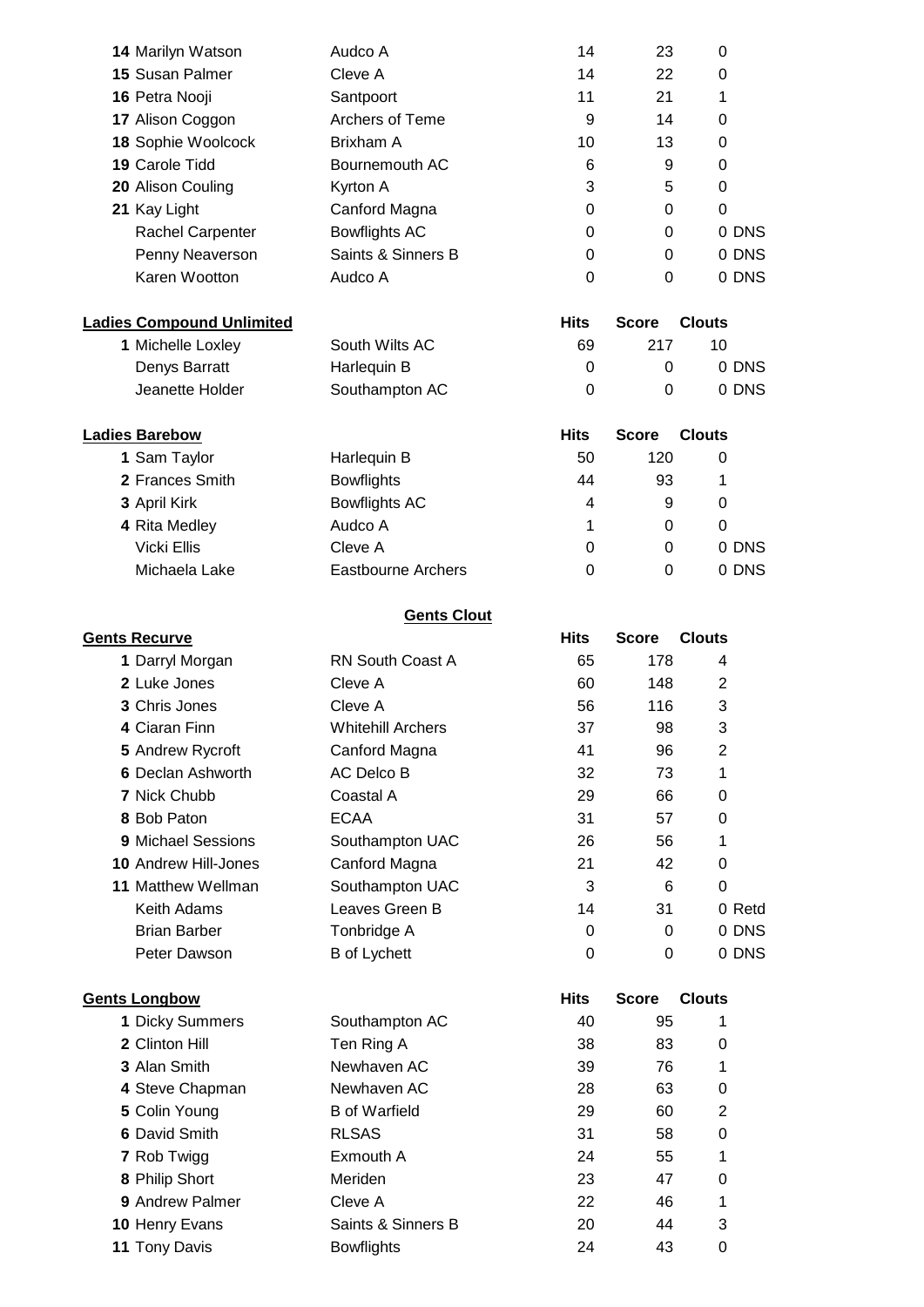| <b>14 Marilyn Watson</b>         | Audco A                   | 14          | 23           | 0             |  |  |  |  |  |  |
|----------------------------------|---------------------------|-------------|--------------|---------------|--|--|--|--|--|--|
| 15 Susan Palmer                  | Cleve A                   | 14          | 22           | 0             |  |  |  |  |  |  |
| 16 Petra Nooji                   | Santpoort                 | 11          | 21           | 1             |  |  |  |  |  |  |
| 17 Alison Coggon                 | Archers of Teme           | 9           | 14           | 0             |  |  |  |  |  |  |
| 18 Sophie Woolcock               | Brixham A                 | 10          | 13           | 0             |  |  |  |  |  |  |
| 19 Carole Tidd                   | Bournemouth AC            | 6           | 9            | 0             |  |  |  |  |  |  |
| 20 Alison Couling                | Kyrton A                  | 3           | 5            | 0             |  |  |  |  |  |  |
| 21 Kay Light                     | Canford Magna             | 0           | 0            | 0             |  |  |  |  |  |  |
| Rachel Carpenter                 | <b>Bowflights AC</b>      | 0           | 0            | 0 DNS         |  |  |  |  |  |  |
| Penny Neaverson                  | Saints & Sinners B        | 0           | 0            | 0 DNS         |  |  |  |  |  |  |
| Karen Wootton                    | Audco A                   | 0           | $\Omega$     | 0 DNS         |  |  |  |  |  |  |
| <b>Ladies Compound Unlimited</b> |                           | <b>Hits</b> | <b>Score</b> | <b>Clouts</b> |  |  |  |  |  |  |
| 1 Michelle Loxley                | South Wilts AC            | 69          | 217          | 10            |  |  |  |  |  |  |
| Denys Barratt                    | Harlequin B               | 0           | 0            | 0 DNS         |  |  |  |  |  |  |
| Jeanette Holder                  | Southampton AC            | 0           | $\Omega$     | 0 DNS         |  |  |  |  |  |  |
| <b>Ladies Barebow</b>            |                           | <b>Hits</b> | <b>Score</b> | <b>Clouts</b> |  |  |  |  |  |  |
| 1 Sam Taylor                     | Harlequin B               | 50          | 120          | 0             |  |  |  |  |  |  |
| 2 Frances Smith                  | <b>Bowflights</b>         | 44          | 93           | 1             |  |  |  |  |  |  |
| 3 April Kirk                     | <b>Bowflights AC</b>      | 4           | 9            | 0             |  |  |  |  |  |  |
| 4 Rita Medley                    | Audco A                   | 1           | 0            | 0             |  |  |  |  |  |  |
| <b>Vicki Ellis</b>               | Cleve A                   | 0           | 0            | 0 DNS         |  |  |  |  |  |  |
| Michaela Lake                    | <b>Eastbourne Archers</b> | 0           | $\Omega$     | 0 DNS         |  |  |  |  |  |  |
| <b>Gents Clout</b>               |                           |             |              |               |  |  |  |  |  |  |
| <b>Gents Recurve</b>             |                           | <b>Hits</b> | <b>Score</b> | <b>Clouts</b> |  |  |  |  |  |  |
| 1 Darryl Morgan                  | <b>RN South Coast A</b>   | 65          | 178          | 4             |  |  |  |  |  |  |
| 2 Luke Jones                     | Cleve A                   | 60          | 148          | 2             |  |  |  |  |  |  |
| 3 Chris Jones                    | Cleve A                   | 56          | 116          | 3             |  |  |  |  |  |  |
| 4 Ciaran Finn                    | <b>Whitehill Archers</b>  | 37          | 98           | 3             |  |  |  |  |  |  |
| 5 Andrew Rycroft                 | Canford Magna             | 41          | 96           | 2             |  |  |  |  |  |  |
| 6 Declan Ashworth                | <b>AC Delco B</b>         | 32          | 73           | 1             |  |  |  |  |  |  |
| 7 Nick Chubb                     | Coastal A                 | 29          | 66           | 0             |  |  |  |  |  |  |
| 8 Bob Paton                      | <b>ECAA</b>               | 31          | 57           | 0             |  |  |  |  |  |  |
| 9 Michael Sessions               | Southampton UAC           | 26          | 56           | 1             |  |  |  |  |  |  |
| 10 Andrew Hill-Jones             | Canford Magna             | 21          | 42           | 0             |  |  |  |  |  |  |
| 11 Matthew Wellman               | Southampton UAC           | 3           | 6            | $\pmb{0}$     |  |  |  |  |  |  |
| Keith Adams                      | Leaves Green B            | 14          | 31           | 0 Retd        |  |  |  |  |  |  |
| <b>Brian Barber</b>              | Tonbridge A               | 0           | 0            | 0 DNS         |  |  |  |  |  |  |
| Peter Dawson                     | <b>B</b> of Lychett       | 0           | 0            | 0 DNS         |  |  |  |  |  |  |
| <b>Gents Longbow</b>             |                           | <b>Hits</b> | <b>Score</b> | <b>Clouts</b> |  |  |  |  |  |  |
| 1 Dicky Summers                  | Southampton AC            | 40          | 95           | 1             |  |  |  |  |  |  |
| 2 Clinton Hill                   | Ten Ring A                | 38          | 83           | 0             |  |  |  |  |  |  |
| 3 Alan Smith                     | Newhaven AC               | 39          | 76           | 1             |  |  |  |  |  |  |
| 4 Steve Chapman                  | Newhaven AC               | 28          | 63           | 0             |  |  |  |  |  |  |
| 5 Colin Young                    | <b>B</b> of Warfield      | 29          | 60           | 2             |  |  |  |  |  |  |
| 6 David Smith                    | <b>RLSAS</b>              | 31          | 58           | 0             |  |  |  |  |  |  |
| 7 Rob Twigg                      | Exmouth A                 | 24          | 55           | 1             |  |  |  |  |  |  |
| 8 Philip Short                   | Meriden                   | 23          | 47           | 0             |  |  |  |  |  |  |
| 9 Andrew Palmer                  | Cleve A                   | 22          | 46           | 1             |  |  |  |  |  |  |
| 10 Henry Evans                   | Saints & Sinners B        | 20          | 44           | 3             |  |  |  |  |  |  |
| 11 Tony Davis                    | <b>Bowflights</b>         | 24          | 43           | $\pmb{0}$     |  |  |  |  |  |  |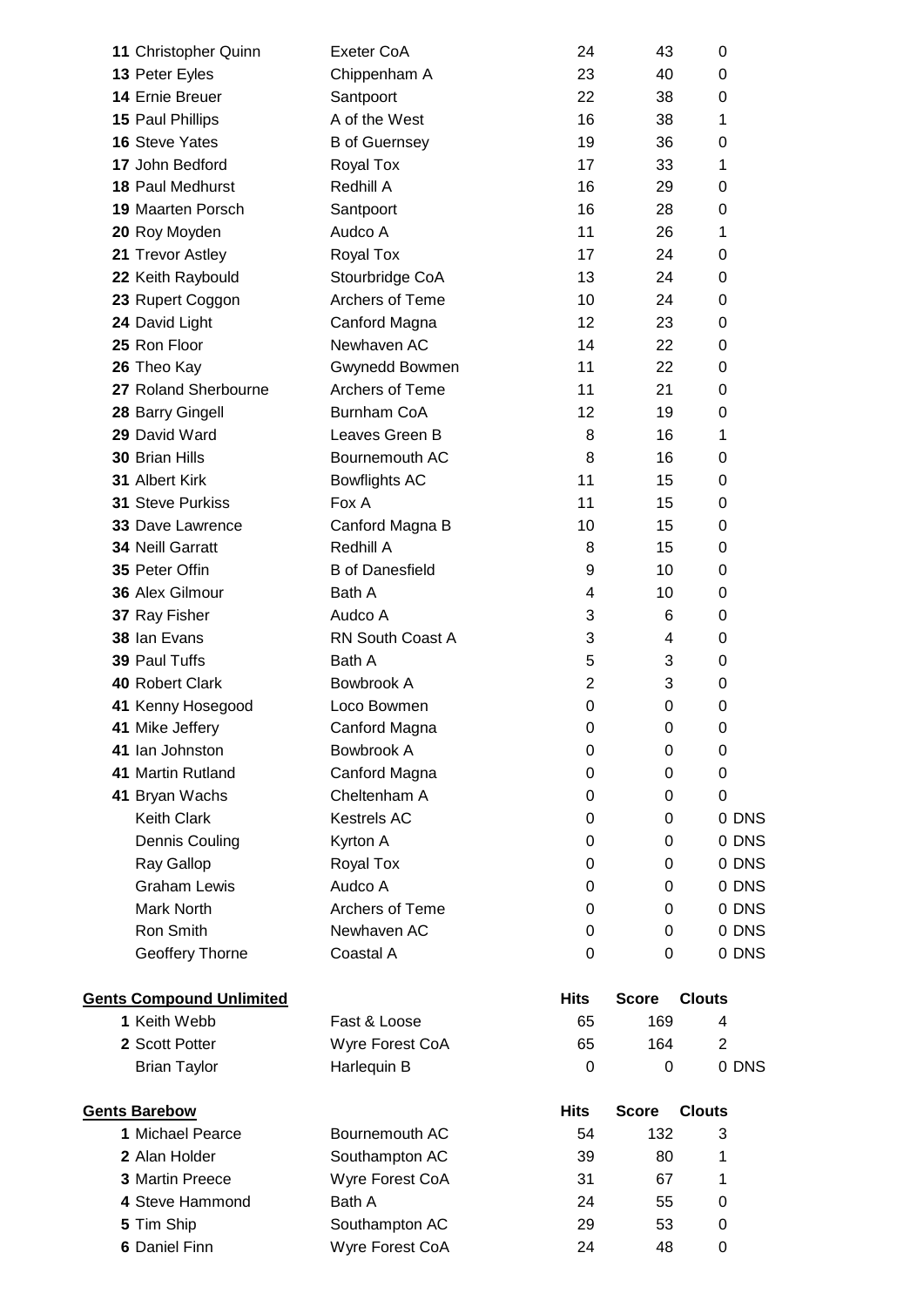| 11 Christopher Quinn            | Exeter CoA             | 24             | 43                  | 0              |
|---------------------------------|------------------------|----------------|---------------------|----------------|
| 13 Peter Eyles                  | Chippenham A           | 23             | 40                  | 0              |
| 14 Ernie Breuer                 | Santpoort              | 22             | 38                  | 0              |
| 15 Paul Phillips                | A of the West          | 16             | 38                  | 1              |
| 16 Steve Yates                  | <b>B</b> of Guernsey   | 19             | 36                  | 0              |
| 17 John Bedford                 | Royal Tox              | 17             | 33                  | 1              |
| <b>18 Paul Medhurst</b>         | Redhill A              | 16             | 29                  | 0              |
| <b>19 Maarten Porsch</b>        | Santpoort              | 16             | 28                  | 0              |
| 20 Roy Moyden                   | Audco A                | 11             | 26                  | 1              |
| 21 Trevor Astley                | Royal Tox              | 17             | 24                  | 0              |
| 22 Keith Raybould               | Stourbridge CoA        | 13             | 24                  | 0              |
| 23 Rupert Coggon                | Archers of Teme        | 10             | 24                  | 0              |
| 24 David Light                  | Canford Magna          | 12             | 23                  | 0              |
| 25 Ron Floor                    | Newhaven AC            | 14             | 22                  | 0              |
| 26 Theo Kay                     | Gwynedd Bowmen         | 11             | 22                  | 0              |
| 27 Roland Sherbourne            | <b>Archers of Teme</b> | 11             | 21                  | 0              |
| 28 Barry Gingell                | <b>Burnham CoA</b>     | 12             | 19                  | 0              |
| 29 David Ward                   | Leaves Green B         | 8              | 16                  | 1              |
| <b>30 Brian Hills</b>           | Bournemouth AC         | 8              | 16                  | 0              |
| 31 Albert Kirk                  | <b>Bowflights AC</b>   | 11             | 15                  | 0              |
| 31 Steve Purkiss                | Fox A                  | 11             | 15                  | 0              |
| <b>33 Dave Lawrence</b>         | Canford Magna B        | 10             | 15                  | 0              |
| 34 Neill Garratt                | Redhill A              | 8              | 15                  | 0              |
| 35 Peter Offin                  | <b>B</b> of Danesfield | 9              | 10                  | 0              |
| 36 Alex Gilmour                 | Bath A                 | 4              | 10                  | 0              |
| 37 Ray Fisher                   | Audco A                | 3              | 6                   | 0              |
| 38 Ian Evans                    | RN South Coast A       | 3              | 4                   | 0              |
| 39 Paul Tuffs                   | Bath A                 | 5              | 3                   | 0              |
| 40 Robert Clark                 | Bowbrook A             | $\overline{2}$ | 3                   | 0              |
| 41 Kenny Hosegood               | Loco Bowmen            | 0              | 0                   | 0              |
| 41 Mike Jeffery                 | Canford Magna          | 0              | 0                   | 0              |
| 41 Ian Johnston                 | Bowbrook A             | 0              | 0                   | 0              |
| 41 Martin Rutland               | Canford Magna          | 0              | 0                   | 0              |
| 41 Bryan Wachs                  | Cheltenham A           | 0              | 0                   | 0              |
| <b>Keith Clark</b>              | <b>Kestrels AC</b>     | 0              | 0                   | 0 DNS          |
| Dennis Couling                  | Kyrton A               | 0              | 0                   | 0 DNS          |
| Ray Gallop                      | Royal Tox              | 0              | 0                   | 0 DNS          |
| <b>Graham Lewis</b>             | Audco A                | 0              | 0                   | 0 DNS          |
| <b>Mark North</b>               | Archers of Teme        | 0              | 0                   | 0 DNS          |
| Ron Smith                       | Newhaven AC            | 0              | 0                   | 0 DNS          |
| Geoffery Thorne                 | Coastal A              | 0              | 0                   | 0 DNS          |
|                                 |                        |                |                     |                |
| <b>Gents Compound Unlimited</b> |                        | <b>Hits</b>    | <b>Score</b>        | <b>Clouts</b>  |
| 1 Keith Webb                    | Fast & Loose           | 65             | 169                 | 4              |
| 2 Scott Potter                  | Wyre Forest CoA        | 65             | 164                 | $\overline{2}$ |
| <b>Brian Taylor</b>             | Harlequin B            | 0              | 0                   | 0 DNS          |
| <b>Gents Barebow</b>            |                        | <b>Hits</b>    |                     | <b>Clouts</b>  |
| 1 Michael Pearce                | Bournemouth AC         | 54             | <b>Score</b><br>132 | 3              |
| 2 Alan Holder                   | Southampton AC         | 39             | 80                  | 1              |
| 3 Martin Preece                 | Wyre Forest CoA        | 31             | 67                  | 1              |
| 4 Steve Hammond                 | Bath A                 | 24             | 55                  | 0              |
| 5 Tim Ship                      | Southampton AC         | 29             | 53                  | 0              |
| 6 Daniel Finn                   | Wyre Forest CoA        | 24             | 48                  | 0              |
|                                 |                        |                |                     |                |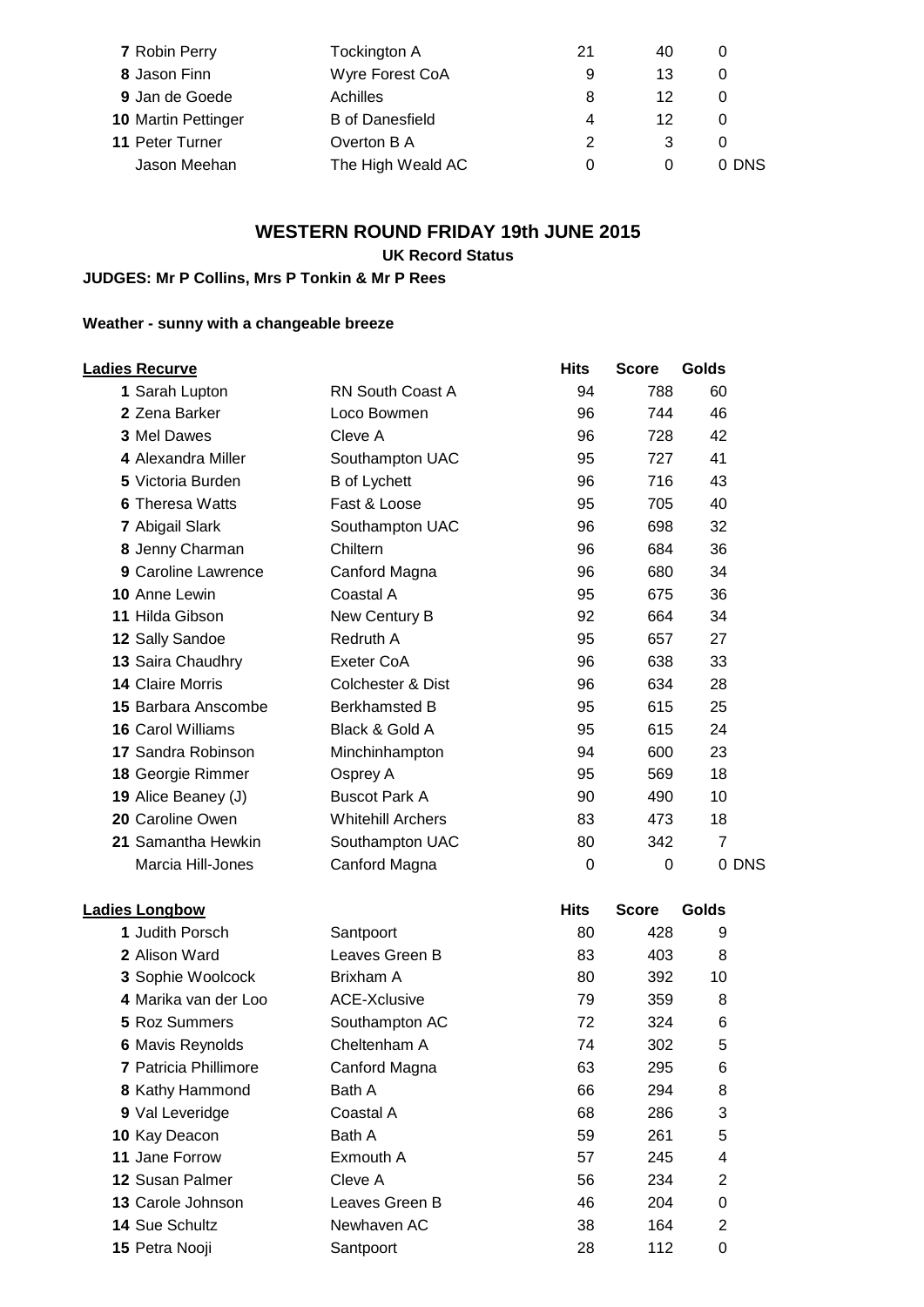| 7 Robin Perry              | Tockington A           | 21 | 40 | 0     |
|----------------------------|------------------------|----|----|-------|
| 8 Jason Finn               | Wyre Forest CoA        | 9  | 13 |       |
| 9 Jan de Goede             | Achilles               | 8  | 12 | 0     |
| <b>10 Martin Pettinger</b> | <b>B</b> of Danesfield | 4  | 12 | 0     |
| 11 Peter Turner            | Overton B A            | 2  | 3  |       |
| Jason Meehan               | The High Weald AC      | 0  | 0  | 0 DNS |

## **WESTERN ROUND FRIDAY 19th JUNE 2015**

#### **UK Record Status**

## **JUDGES: Mr P Collins, Mrs P Tonkin & Mr P Rees**

## **Weather - sunny with a changeable breeze**

| <b>Ladies Recurve</b>   |                              | <b>Hits</b> | <b>Score</b> | Golds          |
|-------------------------|------------------------------|-------------|--------------|----------------|
| 1 Sarah Lupton          | <b>RN South Coast A</b>      | 94          | 788          | 60             |
| 2 Zena Barker           | Loco Bowmen                  | 96          | 744          | 46             |
| 3 Mel Dawes             | Cleve A                      | 96          | 728          | 42             |
| 4 Alexandra Miller      | Southampton UAC              | 95          | 727          | 41             |
| 5 Victoria Burden       | <b>B</b> of Lychett          | 96          | 716          | 43             |
| <b>6 Theresa Watts</b>  | Fast & Loose                 | 95          | 705          | 40             |
| 7 Abigail Slark         | Southampton UAC              | 96          | 698          | 32             |
| 8 Jenny Charman         | Chiltern                     | 96          | 684          | 36             |
| 9 Caroline Lawrence     | Canford Magna                | 96          | 680          | 34             |
| 10 Anne Lewin           | Coastal A                    | 95          | 675          | 36             |
| 11 Hilda Gibson         | New Century B                | 92          | 664          | 34             |
| 12 Sally Sandoe         | Redruth A                    | 95          | 657          | 27             |
| 13 Saira Chaudhry       | Exeter CoA                   | 96          | 638          | 33             |
| <b>14 Claire Morris</b> | <b>Colchester &amp; Dist</b> | 96          | 634          | 28             |
| 15 Barbara Anscombe     | <b>Berkhamsted B</b>         | 95          | 615          | 25             |
| 16 Carol Williams       | Black & Gold A               | 95          | 615          | 24             |
| 17 Sandra Robinson      | Minchinhampton               | 94          | 600          | 23             |
| 18 Georgie Rimmer       | Osprey A                     | 95          | 569          | 18             |
| 19 Alice Beaney (J)     | <b>Buscot Park A</b>         | 90          | 490          | 10             |
| 20 Caroline Owen        | <b>Whitehill Archers</b>     | 83          | 473          | 18             |
| 21 Samantha Hewkin      | Southampton UAC              | 80          | 342          | $\overline{7}$ |
| Marcia Hill-Jones       | Canford Magna                | 0           | 0            | 0 DNS          |
| <b>Ladies Longbow</b>   |                              | <b>Hits</b> | <b>Score</b> | Golds          |
| 1 Judith Porsch         | Santpoort                    | 80          | 428          | 9              |
| 2 Alison Ward           | Leaves Green B               | 83          | 403          | 8              |
| 3 Sophie Woolcock       | Brixham A                    | 80          | 392          | 10             |
| 4 Marika van der Loo    | <b>ACE-Xclusive</b>          | 79          | 359          | 8              |
| <b>5 Roz Summers</b>    | Southampton AC               | 72          | 324          | 6              |
| <b>6 Mavis Reynolds</b> | Cheltenham A                 | 74          | 302          | 5              |
| 7 Patricia Phillimore   | Canford Magna                | 63          | 295          | 6              |
| 8 Kathy Hammond         | Bath A                       | 66          | 294          | 8              |
| 9 Val Leveridge         | Coastal A                    | 68          | 286          | 3              |
| 10 Kay Deacon           | Bath A                       | 59          | 261          | 5              |
| 11 Jane Forrow          | Exmouth A                    | 57          | 245          | 4              |
| 12 Susan Palmer         | Cleve A                      | 56          | 234          | $\overline{2}$ |
| 13 Carole Johnson       | Leaves Green B               | 46          | 204          | 0              |
| 14 Sue Schultz          | Newhaven AC                  | 38          | 164          | $\overline{c}$ |
| 15 Petra Nooji          | Santpoort                    | 28          | 112          | 0              |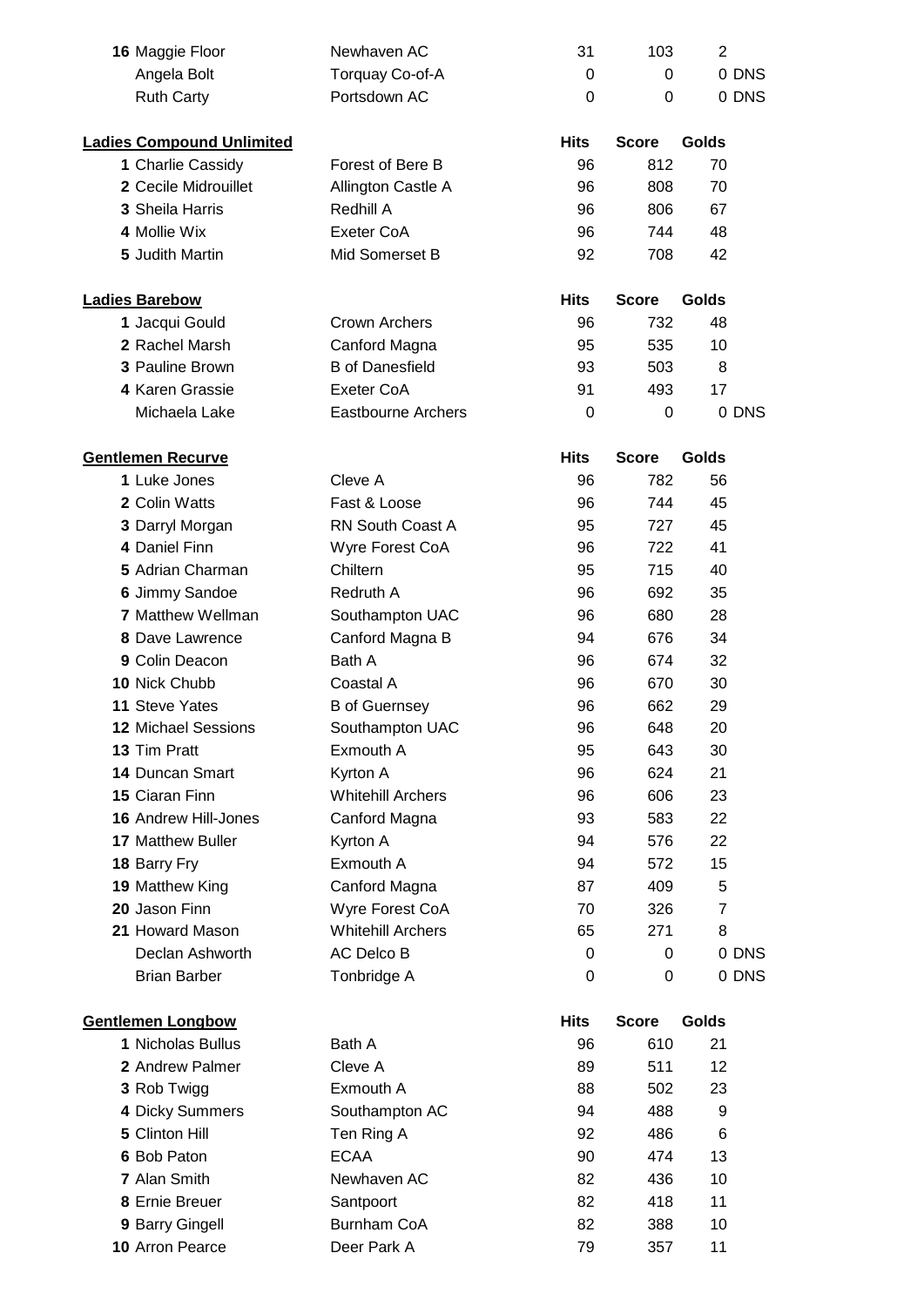| 16 Maggie Floor                  | Newhaven AC                          | 31          | 103          | $\overline{2}$ |       |
|----------------------------------|--------------------------------------|-------------|--------------|----------------|-------|
| Angela Bolt                      | Torquay Co-of-A                      | 0           | $\Omega$     |                | 0 DNS |
| <b>Ruth Carty</b>                | Portsdown AC                         | $\Omega$    | 0            |                | 0 DNS |
| <b>Ladies Compound Unlimited</b> |                                      | <b>Hits</b> | <b>Score</b> | Golds          |       |
| 1 Charlie Cassidy                | Forest of Bere B                     | 96          | 812          | 70             |       |
| 2 Cecile Midrouillet             | Allington Castle A                   | 96          | 808          | 70             |       |
| 3 Sheila Harris                  | Redhill A                            | 96          | 806          | 67             |       |
| 4 Mollie Wix                     | Exeter CoA                           | 96          | 744          | 48             |       |
| 5 Judith Martin                  | Mid Somerset B                       | 92          | 708          | 42             |       |
|                                  |                                      |             |              |                |       |
| <b>Ladies Barebow</b>            |                                      | <b>Hits</b> | <b>Score</b> | Golds          |       |
| 1 Jacqui Gould                   | Crown Archers                        | 96          | 732          | 48             |       |
| 2 Rachel Marsh                   | Canford Magna                        | 95          | 535          | 10             |       |
| 3 Pauline Brown                  | <b>B</b> of Danesfield               | 93          | 503          | 8              |       |
| 4 Karen Grassie                  | Exeter CoA                           | 91          | 493          | 17             |       |
| Michaela Lake                    | <b>Eastbourne Archers</b>            | 0           | 0            |                | 0 DNS |
| <b>Gentlemen Recurve</b>         |                                      | <b>Hits</b> | <b>Score</b> | Golds          |       |
| 1 Luke Jones                     | Cleve A                              | 96          | 782          | 56             |       |
| 2 Colin Watts                    | Fast & Loose                         | 96          | 744          | 45             |       |
| 3 Darryl Morgan                  | <b>RN South Coast A</b>              | 95          | 727          | 45             |       |
| 4 Daniel Finn                    | Wyre Forest CoA                      | 96          | 722          | 41             |       |
| 5 Adrian Charman                 | Chiltern                             | 95          | 715          | 40             |       |
| 6 Jimmy Sandoe                   | Redruth A                            | 96          | 692          | 35             |       |
| <b>7 Matthew Wellman</b>         | Southampton UAC                      | 96          | 680          | 28             |       |
| 8 Dave Lawrence                  | Canford Magna B                      | 94          | 676          | 34             |       |
| 9 Colin Deacon                   | Bath A                               | 96          | 674          | 32             |       |
| 10 Nick Chubb                    | Coastal A                            | 96          | 670          | 30             |       |
| 11 Steve Yates                   | <b>B</b> of Guernsey                 | 96          | 662          | 29             |       |
| 12 Michael Sessions              | Southampton UAC                      | 96          | 648          | 20             |       |
| 13 Tim Pratt                     | Exmouth A                            | 95          | 643          | 30             |       |
| <b>14 Duncan Smart</b>           |                                      | 96          | 624          | 21             |       |
| 15 Ciaran Finn                   | Kyrton A<br><b>Whitehill Archers</b> |             |              |                |       |
|                                  |                                      | 96          | 606          | 23             |       |
| <b>16 Andrew Hill-Jones</b>      | Canford Magna                        | 93          | 583          | 22             |       |
| <b>17 Matthew Buller</b>         | Kyrton A                             | 94          | 576          | 22             |       |
| 18 Barry Fry                     | Exmouth A                            | 94          | 572          | 15             |       |
| 19 Matthew King                  | Canford Magna                        | 87          | 409          | 5              |       |
| 20 Jason Finn                    | Wyre Forest CoA                      | 70          | 326          | $\overline{7}$ |       |
| 21 Howard Mason                  | <b>Whitehill Archers</b>             | 65          | 271          | 8              |       |
| Declan Ashworth                  | AC Delco B                           | 0           | 0            |                | 0 DNS |
| <b>Brian Barber</b>              | Tonbridge A                          | 0           | 0            |                | 0 DNS |
| <b>Gentlemen Longbow</b>         |                                      | <b>Hits</b> | <b>Score</b> | Golds          |       |
| 1 Nicholas Bullus                | Bath A                               | 96          | 610          | 21             |       |
| 2 Andrew Palmer                  | Cleve A                              | 89          | 511          | 12             |       |
| 3 Rob Twigg                      | Exmouth A                            | 88          | 502          | 23             |       |
| 4 Dicky Summers                  | Southampton AC                       | 94          | 488          | 9              |       |
| 5 Clinton Hill                   | Ten Ring A                           | 92          | 486          | 6              |       |
| 6 Bob Paton                      | <b>ECAA</b>                          | 90          | 474          | 13             |       |
| 7 Alan Smith                     | Newhaven AC                          | 82          | 436          | 10             |       |
| 8 Ernie Breuer                   | Santpoort                            | 82          | 418          | 11             |       |
| 9 Barry Gingell                  | Burnham CoA                          | 82          | 388          | 10             |       |
| 10 Arron Pearce                  | Deer Park A                          | 79          | 357          | 11             |       |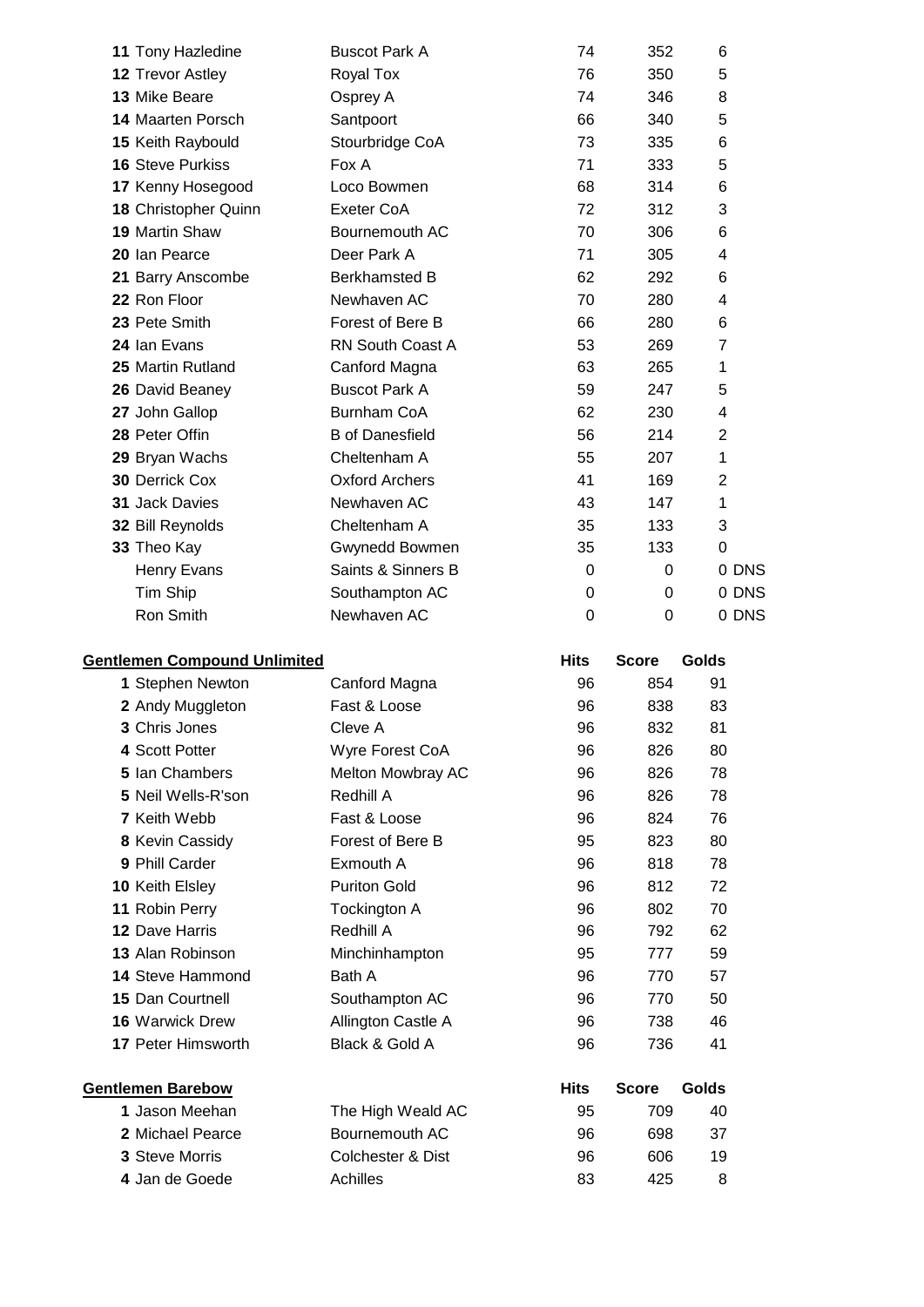| 11 Tony Hazledine                   | <b>Buscot Park A</b>    | 74          | 352            | 6              |
|-------------------------------------|-------------------------|-------------|----------------|----------------|
| 12 Trevor Astley                    | Royal Tox               | 76          | 350            | 5              |
| 13 Mike Beare                       | Osprey A                | 74          | 346            | 8              |
| <b>14 Maarten Porsch</b>            | Santpoort               | 66          | 340            | 5              |
| 15 Keith Raybould                   | Stourbridge CoA         | 73          | 335            | 6              |
| <b>16 Steve Purkiss</b>             | Fox A                   | 71          | 333            | 5              |
| 17 Kenny Hosegood                   | Loco Bowmen             | 68          | 314            | 6              |
| 18 Christopher Quinn                | <b>Exeter CoA</b>       | 72          | 312            | 3              |
| 19 Martin Shaw                      | Bournemouth AC          | 70          | 306            | 6              |
| 20 Ian Pearce                       | Deer Park A             | 71          | 305            | 4              |
| 21 Barry Anscombe                   | <b>Berkhamsted B</b>    | 62          | 292            | 6              |
| 22 Ron Floor                        | Newhaven AC             | 70          | 280            | 4              |
| 23 Pete Smith                       | Forest of Bere B        | 66          | 280            | 6              |
| 24 Ian Evans                        | <b>RN South Coast A</b> | 53          | 269            | $\overline{7}$ |
| 25 Martin Rutland                   | Canford Magna           | 63          | 265            | 1              |
| 26 David Beaney                     | <b>Buscot Park A</b>    | 59          | 247            | 5              |
| 27 John Gallop                      | <b>Burnham CoA</b>      | 62          | 230            | 4              |
| 28 Peter Offin                      | <b>B</b> of Danesfield  | 56          | 214            | $\overline{2}$ |
| 29 Bryan Wachs                      | Cheltenham A            | 55          | 207            | 1              |
| <b>30 Derrick Cox</b>               | <b>Oxford Archers</b>   | 41          | 169            | $\overline{2}$ |
| 31 Jack Davies                      | Newhaven AC             | 43          | 147            | 1              |
| 32 Bill Reynolds                    | Cheltenham A            | 35          | 133            | 3              |
| 33 Theo Kay                         | Gwynedd Bowmen          | 35          | 133            | $\mathbf 0$    |
| <b>Henry Evans</b>                  | Saints & Sinners B      | 0           | 0              | 0 DNS          |
| Tim Ship                            | Southampton AC          | 0           | 0              | 0 DNS          |
| Ron Smith                           | Newhaven AC             | $\mathbf 0$ | $\overline{0}$ | 0 DNS          |
| <b>Gentlemen Compound Unlimited</b> |                         | <b>Hits</b> | <b>Score</b>   | Golds          |
| 1 Stephen Newton                    | Canford Magna           | 96          | 854            | 91             |
| 2 Andy Muggleton                    | Fast & Loose            | 96          | 838            | 83             |
| 3 Chris Jones                       | Cleve A                 | 96          | 832            | 81             |
| 4 Scott Potter                      | Wyre Forest CoA         | 96          | 826            | 80             |
| 5 Ian Chambers                      | Melton Mowbray AC       | 96          | 826            | 78             |
| 5 Neil Wells-R'son                  | Redhill A               | 96          | 826            | 78             |
| 7 Keith Webb                        | Fast & Loose            | 96          | 824            | 76             |
|                                     |                         |             |                |                |

| 9 Phill Carder            | Exmouth A           | 96          | 818          | 78    |
|---------------------------|---------------------|-------------|--------------|-------|
| <b>10 Keith Elsley</b>    | <b>Puriton Gold</b> | 96          | 812          | 72    |
| 11 Robin Perry            | Tockington A        | 96          | 802          | 70    |
| 12 Dave Harris            | Redhill A           | 96          | 792          | 62    |
| 13 Alan Robinson          | Minchinhampton      | 95          | 777          | 59    |
| <b>14 Steve Hammond</b>   | Bath A              | 96          | 770          | 57    |
| <b>15 Dan Courtnell</b>   | Southampton AC      | 96          | 770          | 50    |
| <b>16 Warwick Drew</b>    | Allington Castle A  | 96          | 738          | 46    |
| <b>17 Peter Himsworth</b> | Black & Gold A      | 96          | 736          | 41    |
| <b>Gentlemen Barebow</b>  |                     | <b>Hits</b> | <b>Score</b> | Golds |
| 1 Jason Meehan            | The High Weald AC   | 95          | 709          | 40    |
| 2 Michael Pearce          | Bournemouth AC      | 96          | 698          | 37    |
| <b>3 Steve Morris</b>     | Colchester & Dist   | 96          | 606          | 19    |
| 4 Jan de Goede            | Achilles            | 83          | 425          | 8     |

Kevin Cassidy **Refere Forest of Bere B** 5 823 80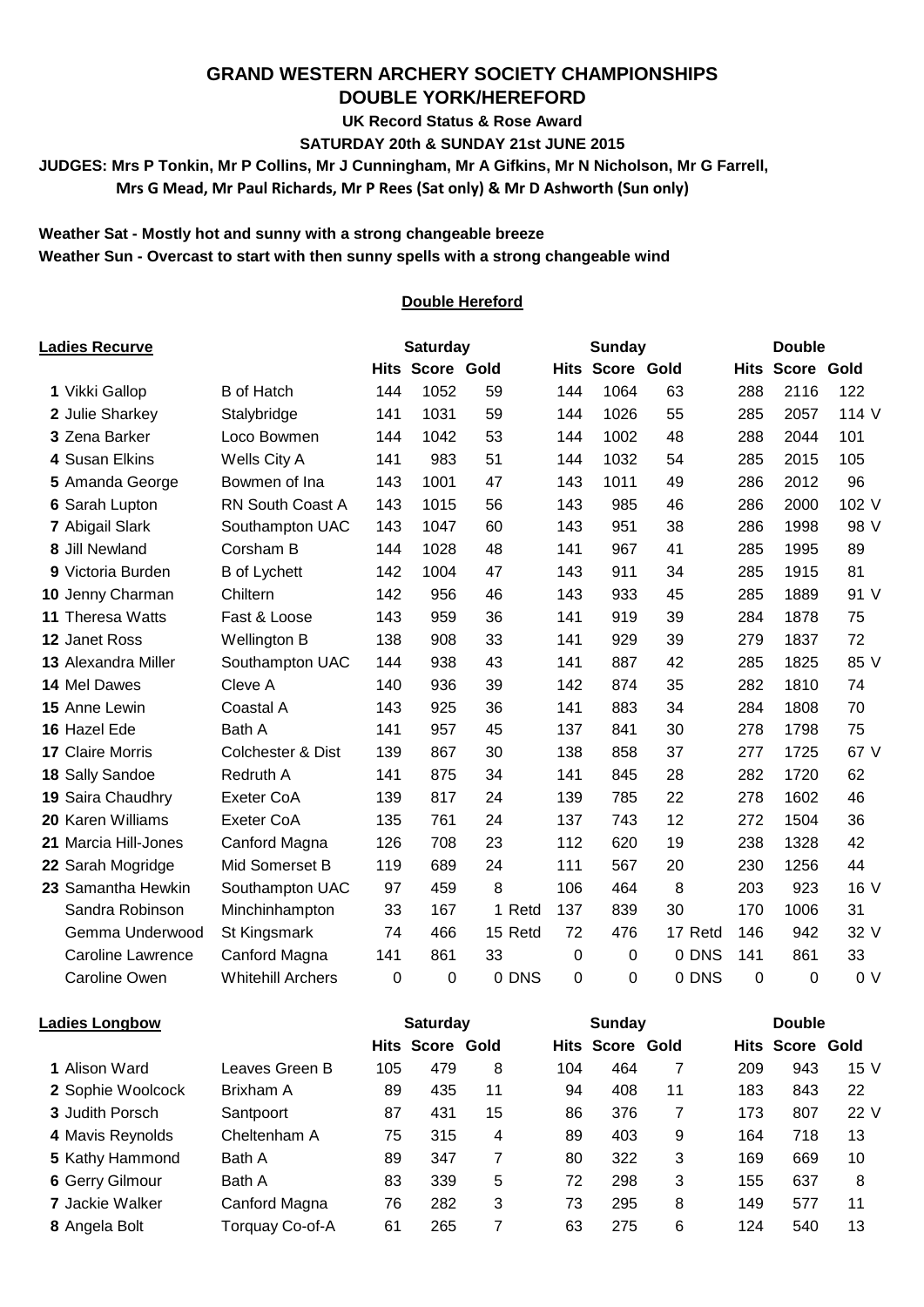## **GRAND WESTERN ARCHERY SOCIETY CHAMPIONSHIPS DOUBLE YORK/HEREFORD**

**UK Record Status & Rose Award**

**SATURDAY 20th & SUNDAY 21st JUNE 2015**

**JUDGES: Mrs P Tonkin, Mr P Collins, Mr J Cunningham, Mr A Gifkins, Mr N Nicholson, Mr G Farrell,**

 **Mrs G Mead, Mr Paul Richards, Mr P Rees (Sat only) & Mr D Ashworth (Sun only)**

#### **Weather Sat - Mostly hot and sunny with a strong changeable breeze Weather Sun - Overcast to start with then sunny spells with a strong changeable wind**

#### **Double Hereford**

| Ladies Recurve             |                              |     | <b>Saturday</b>        |         |             | Sunday                 |         |             | <b>Double</b>          |                |
|----------------------------|------------------------------|-----|------------------------|---------|-------------|------------------------|---------|-------------|------------------------|----------------|
|                            |                              |     | <b>Hits Score Gold</b> |         |             | <b>Hits Score Gold</b> |         |             | <b>Hits Score Gold</b> |                |
| 1 Vikki Gallop             | <b>B</b> of Hatch            | 144 | 1052                   | 59      | 144         | 1064                   | 63      | 288         | 2116                   | 122            |
| 2 Julie Sharkey            | Stalybridge                  | 141 | 1031                   | 59      | 144         | 1026                   | 55      | 285         | 2057                   | 114 V          |
| 3 Zena Barker              | Loco Bowmen                  | 144 | 1042                   | 53      | 144         | 1002                   | 48      | 288         | 2044                   | 101            |
| 4 Susan Elkins             | Wells City A                 | 141 | 983                    | 51      | 144         | 1032                   | 54      | 285         | 2015                   | 105            |
| 5 Amanda George            | Bowmen of Ina                | 143 | 1001                   | 47      | 143         | 1011                   | 49      | 286         | 2012                   | 96             |
| 6 Sarah Lupton             | RN South Coast A             | 143 | 1015                   | 56      | 143         | 985                    | 46      | 286         | 2000                   | 102 V          |
| 7 Abigail Slark            | Southampton UAC              | 143 | 1047                   | 60      | 143         | 951                    | 38      | 286         | 1998                   | 98 V           |
| 8 Jill Newland             | Corsham B                    | 144 | 1028                   | 48      | 141         | 967                    | 41      | 285         | 1995                   | 89             |
| 9 Victoria Burden          | <b>B</b> of Lychett          | 142 | 1004                   | 47      | 143         | 911                    | 34      | 285         | 1915                   | 81             |
| 10 Jenny Charman           | Chiltern                     | 142 | 956                    | 46      | 143         | 933                    | 45      | 285         | 1889                   | 91 V           |
| <b>11 Theresa Watts</b>    | Fast & Loose                 | 143 | 959                    | 36      | 141         | 919                    | 39      | 284         | 1878                   | 75             |
| 12 Janet Ross              | Wellington B                 | 138 | 908                    | 33      | 141         | 929                    | 39      | 279         | 1837                   | 72             |
| <b>13 Alexandra Miller</b> | Southampton UAC              | 144 | 938                    | 43      | 141         | 887                    | 42      | 285         | 1825                   | 85 V           |
| 14 Mel Dawes               | Cleve A                      | 140 | 936                    | 39      | 142         | 874                    | 35      | 282         | 1810                   | 74             |
| 15 Anne Lewin              | Coastal A                    | 143 | 925                    | 36      | 141         | 883                    | 34      | 284         | 1808                   | 70             |
| 16 Hazel Ede               | Bath A                       | 141 | 957                    | 45      | 137         | 841                    | 30      | 278         | 1798                   | 75             |
| <b>17 Claire Morris</b>    | <b>Colchester &amp; Dist</b> | 139 | 867                    | 30      | 138         | 858                    | 37      | 277         | 1725                   | 67 V           |
| 18 Sally Sandoe            | Redruth A                    | 141 | 875                    | 34      | 141         | 845                    | 28      | 282         | 1720                   | 62             |
| 19 Saira Chaudhry          | <b>Exeter CoA</b>            | 139 | 817                    | 24      | 139         | 785                    | 22      | 278         | 1602                   | 46             |
| 20 Karen Williams          | Exeter CoA                   | 135 | 761                    | 24      | 137         | 743                    | 12      | 272         | 1504                   | 36             |
| 21 Marcia Hill-Jones       | Canford Magna                | 126 | 708                    | 23      | 112         | 620                    | 19      | 238         | 1328                   | 42             |
| 22 Sarah Mogridge          | Mid Somerset B               | 119 | 689                    | 24      | 111         | 567                    | 20      | 230         | 1256                   | 44             |
| 23 Samantha Hewkin         | Southampton UAC              | 97  | 459                    | 8       | 106         | 464                    | 8       | 203         | 923                    | 16 V           |
| Sandra Robinson            | Minchinhampton               | 33  | 167                    | 1 Retd  | 137         | 839                    | 30      | 170         | 1006                   | 31             |
| Gemma Underwood            | St Kingsmark                 | 74  | 466                    | 15 Retd | 72          | 476                    | 17 Retd | 146         | 942                    | 32 V           |
| Caroline Lawrence          | Canford Magna                | 141 | 861                    | 33      | $\mathbf 0$ | $\mathbf 0$            | 0 DNS   | 141         | 861                    | 33             |
| <b>Caroline Owen</b>       | <b>Whitehill Archers</b>     | 0   | $\Omega$               | 0 DNS   | 0           | $\Omega$               | 0 DNS   | $\mathbf 0$ | 0                      | 0 <sub>V</sub> |

| <b>Ladies Longbow</b>  |                 | <b>Saturday</b> |                        |    | Sunday |                        |    | <b>Double</b> |                        |      |
|------------------------|-----------------|-----------------|------------------------|----|--------|------------------------|----|---------------|------------------------|------|
|                        |                 |                 | <b>Hits Score Gold</b> |    |        | <b>Hits Score Gold</b> |    |               | <b>Hits Score Gold</b> |      |
| 1 Alison Ward          | Leaves Green B  | 105             | 479                    | 8  | 104    | 464                    |    | 209           | 943                    | 15 V |
| 2 Sophie Woolcock      | Brixham A       | 89              | 435                    | 11 | 94     | 408                    | 11 | 183           | 843                    | 22   |
| 3 Judith Porsch        | Santpoort       | 87              | 431                    | 15 | 86     | 376                    |    | 173           | 807                    | 22 V |
| 4 Mavis Reynolds       | Cheltenham A    | 75              | 315                    | 4  | 89     | 403                    | 9  | 164           | 718                    | 13   |
| 5 Kathy Hammond        | Bath A          | 89              | 347                    |    | 80     | 322                    | 3  | 169           | 669                    | 10   |
| 6 Gerry Gilmour        | Bath A          | 83              | 339                    | 5  | 72     | 298                    | 3  | 155           | 637                    | 8    |
| <b>7 Jackie Walker</b> | Canford Magna   | 76              | 282                    | 3  | 73     | 295                    | 8  | 149           | 577                    | 11   |
| 8 Angela Bolt          | Torquay Co-of-A | 61              | 265                    |    | 63     | 275                    | 6  | 124           | 540                    | 13   |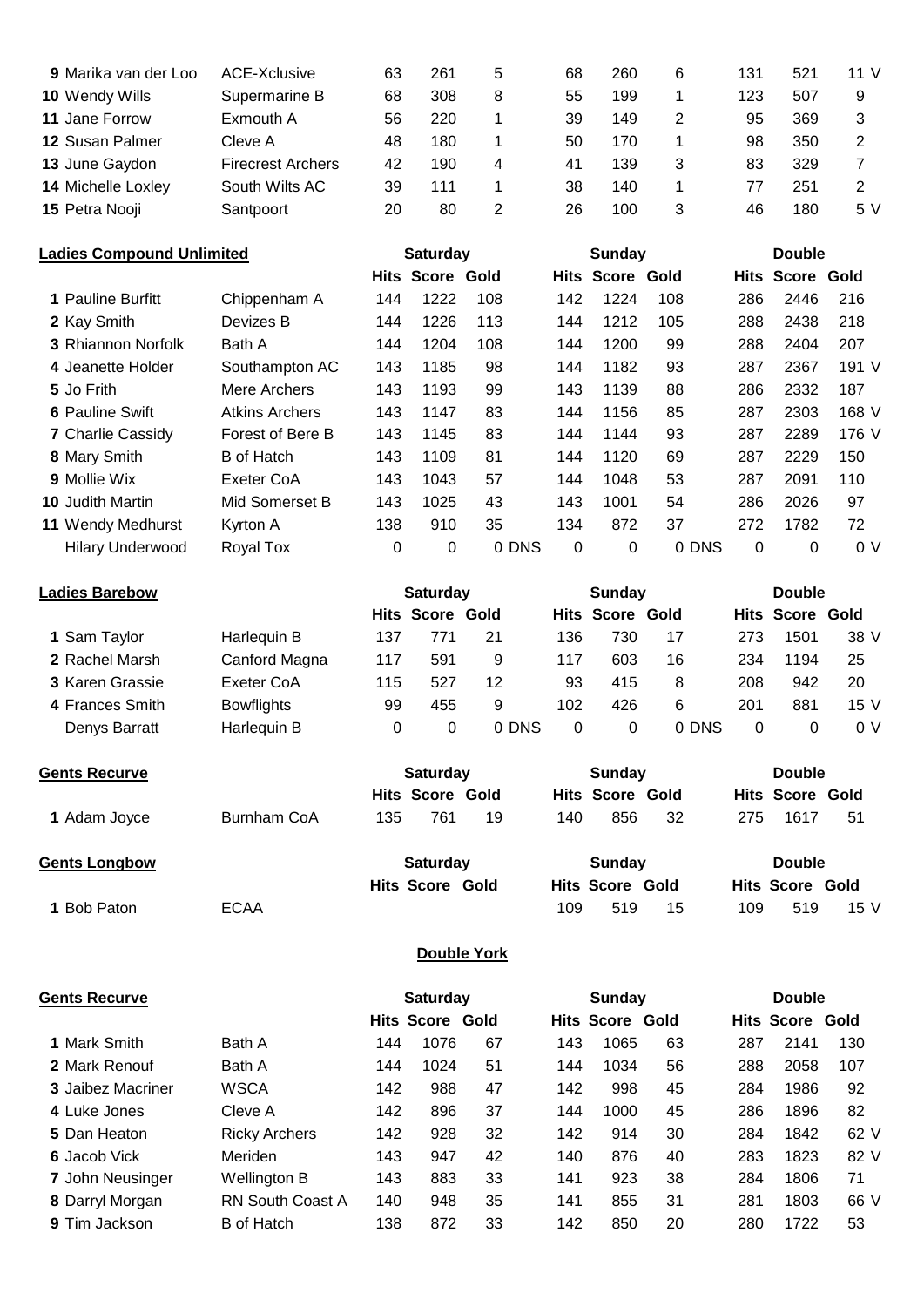| 9 Marika van der Loo   | ACE-Xclusive             | 63 | 261 | 5 | 68 | 260 | 6 | 131 | 521 | 11 V |
|------------------------|--------------------------|----|-----|---|----|-----|---|-----|-----|------|
| 10 Wendy Wills         | Supermarine B            | 68 | 308 | 8 | 55 | 199 |   | 123 | 507 | 9    |
| 11 Jane Forrow         | Exmouth A                | 56 | 220 |   | 39 | 149 | 2 | 95  | 369 | 3    |
| <b>12 Susan Palmer</b> | Cleve A                  | 48 | 180 |   | 50 | 170 |   | 98  | 350 |      |
| 13 June Gaydon         | <b>Firecrest Archers</b> | 42 | 190 | 4 | 41 | 139 | 3 | 83  | 329 |      |
| 14 Michelle Loxley     | South Wilts AC           | 39 | 111 |   | 38 | 140 |   | 77  | 251 |      |
| 15 Petra Nooji         | Santpoort                | 20 | 80  |   | 26 | 100 |   | 46  | 180 | 5 V  |

| <b>Ladies Compound Unlimited</b> |                           | <b>Saturday</b>       |     |                        | Sunday |     |                        | <b>Double</b> |          |                        |       |
|----------------------------------|---------------------------|-----------------------|-----|------------------------|--------|-----|------------------------|---------------|----------|------------------------|-------|
|                                  |                           |                       |     | <b>Hits Score Gold</b> |        |     | <b>Hits Score Gold</b> |               |          | <b>Hits Score Gold</b> |       |
|                                  | <b>1 Pauline Burfitt</b>  | Chippenham A          | 144 | 1222                   | 108    | 142 | 1224                   | 108           | 286      | 2446                   | 216   |
|                                  | 2 Kay Smith               | Devizes B             | 144 | 1226                   | 113    | 144 | 1212                   | 105           | 288      | 2438                   | 218   |
|                                  | <b>3 Rhiannon Norfolk</b> | Bath A                | 144 | 1204                   | 108    | 144 | 1200                   | 99            | 288      | 2404                   | 207   |
|                                  | 4 Jeanette Holder         | Southampton AC        | 143 | 1185                   | 98     | 144 | 1182                   | 93            | 287      | 2367                   | 191 V |
|                                  | 5 Jo Frith                | Mere Archers          | 143 | 1193                   | 99     | 143 | 1139                   | 88            | 286      | 2332                   | 187   |
|                                  | <b>6 Pauline Swift</b>    | <b>Atkins Archers</b> | 143 | 1147                   | 83     | 144 | 1156                   | 85            | 287      | 2303                   | 168 V |
|                                  | <b>7 Charlie Cassidy</b>  | Forest of Bere B      | 143 | 1145                   | 83     | 144 | 1144                   | 93            | 287      | 2289                   | 176 V |
|                                  | 8 Mary Smith              | <b>B</b> of Hatch     | 143 | 1109                   | 81     | 144 | 1120                   | 69            | 287      | 2229                   | 150   |
|                                  | 9 Mollie Wix              | Exeter CoA            | 143 | 1043                   | 57     | 144 | 1048                   | 53            | 287      | 2091                   | 110   |
|                                  | <b>10 Judith Martin</b>   | Mid Somerset B        | 143 | 1025                   | 43     | 143 | 1001                   | 54            | 286      | 2026                   | 97    |
|                                  | 11 Wendy Medhurst         | Kyrton A              | 138 | 910                    | 35     | 134 | 872                    | 37            | 272      | 1782                   | 72    |
|                                  | <b>Hilary Underwood</b>   | Royal Tox             | 0   | 0                      | 0 DNS  | 0   | 0                      | 0 DNS         | $\Omega$ | $\Omega$               | 0 V   |
|                                  |                           |                       |     |                        |        |     |                        |               |          |                        |       |

| <b>Ladies Barebow</b> |     | <b>Saturday</b> |       |                        | Sunday |       |                        | <b>Double</b> |                                |  |
|-----------------------|-----|-----------------|-------|------------------------|--------|-------|------------------------|---------------|--------------------------------|--|
|                       |     |                 |       |                        |        |       |                        |               |                                |  |
| Harlequin B           | 137 | 771             | 21    | 136                    | 730    | 17    | 273                    | 1501          | 38 V                           |  |
| Canford Magna         | 117 | 591             | 9     | 117                    | 603    | 16    | 234                    |               | 25                             |  |
| Exeter CoA            | 115 | 527             | 12    | 93                     | 415    | 8     | 208                    | 942           | 20                             |  |
| <b>Bowflights</b>     | 99  | 455             | 9     | 102                    | 426    | 6     | 201                    | 881           | 15 <sub>V</sub>                |  |
| Harlequin B           |     | 0               | 0 DNS | 0                      | 0      | 0 DNS | 0                      |               | 0 V                            |  |
|                       |     | 0               |       | <b>Hits Score Gold</b> |        |       | <b>Hits Score Gold</b> |               | <b>Hits Score Gold</b><br>1194 |  |

| <b>Gents Recurve</b> |             |     | <b>Saturday</b>        |    | Sunday |                        |    | <b>Double</b> |                        |      |  |
|----------------------|-------------|-----|------------------------|----|--------|------------------------|----|---------------|------------------------|------|--|
|                      |             |     | <b>Hits Score Gold</b> |    |        | <b>Hits Score Gold</b> |    |               | <b>Hits Score Gold</b> |      |  |
| 1 Adam Joyce         | Burnham CoA | 135 | 761                    | 19 | 140    | 856                    | 32 | 275           | 1617                   | 51   |  |
| <b>Gents Longbow</b> |             |     | <b>Saturday</b>        |    |        | Sunday                 |    |               | <b>Double</b>          |      |  |
|                      |             |     | <b>Hits Score Gold</b> |    |        | <b>Hits Score Gold</b> |    |               | <b>Hits Score Gold</b> |      |  |
| 1 Bob Paton          | ECAA        |     |                        |    | 109    | 519                    | 15 | 109           | 519                    | 15 V |  |

## **Double York**

| Gents Recurve            |                         | <b>Saturday</b> |                        |    | Sunday |                        |    | <b>Double</b> |                        |      |
|--------------------------|-------------------------|-----------------|------------------------|----|--------|------------------------|----|---------------|------------------------|------|
|                          |                         |                 | <b>Hits Score Gold</b> |    |        | <b>Hits Score Gold</b> |    |               | <b>Hits Score Gold</b> |      |
| <b>1 Mark Smith</b>      | Bath A                  | 144             | 1076                   | 67 | 143    | 1065                   | 63 | 287           | 2141                   | 130  |
| 2 Mark Renouf            | Bath A                  | 144             | 1024                   | 51 | 144    | 1034                   | 56 | 288           | 2058                   | 107  |
| <b>3</b> Jaibez Macriner | <b>WSCA</b>             | 142             | 988                    | 47 | 142    | 998                    | 45 | 284           | 1986                   | 92   |
| 4 Luke Jones             | Cleve A                 | 142             | 896                    | 37 | 144    | 1000                   | 45 | 286           | 1896                   | 82   |
| 5 Dan Heaton             | <b>Ricky Archers</b>    | 142             | 928                    | 32 | 142    | 914                    | 30 | 284           | 1842                   | 62 V |
| 6 Jacob Vick             | Meriden                 | 143             | 947                    | 42 | 140    | 876                    | 40 | 283           | 1823                   | 82 V |
| 7 John Neusinger         | Wellington B            | 143             | 883                    | 33 | 141    | 923                    | 38 | 284           | 1806                   | 71   |
| 8 Darryl Morgan          | <b>RN South Coast A</b> | 140             | 948                    | 35 | 141    | 855                    | 31 | 281           | 1803                   | 66 V |
| <b>9 Tim Jackson</b>     | <b>B</b> of Hatch       | 138             | 872                    | 33 | 142    | 850                    | 20 | 280           | 1722                   | 53   |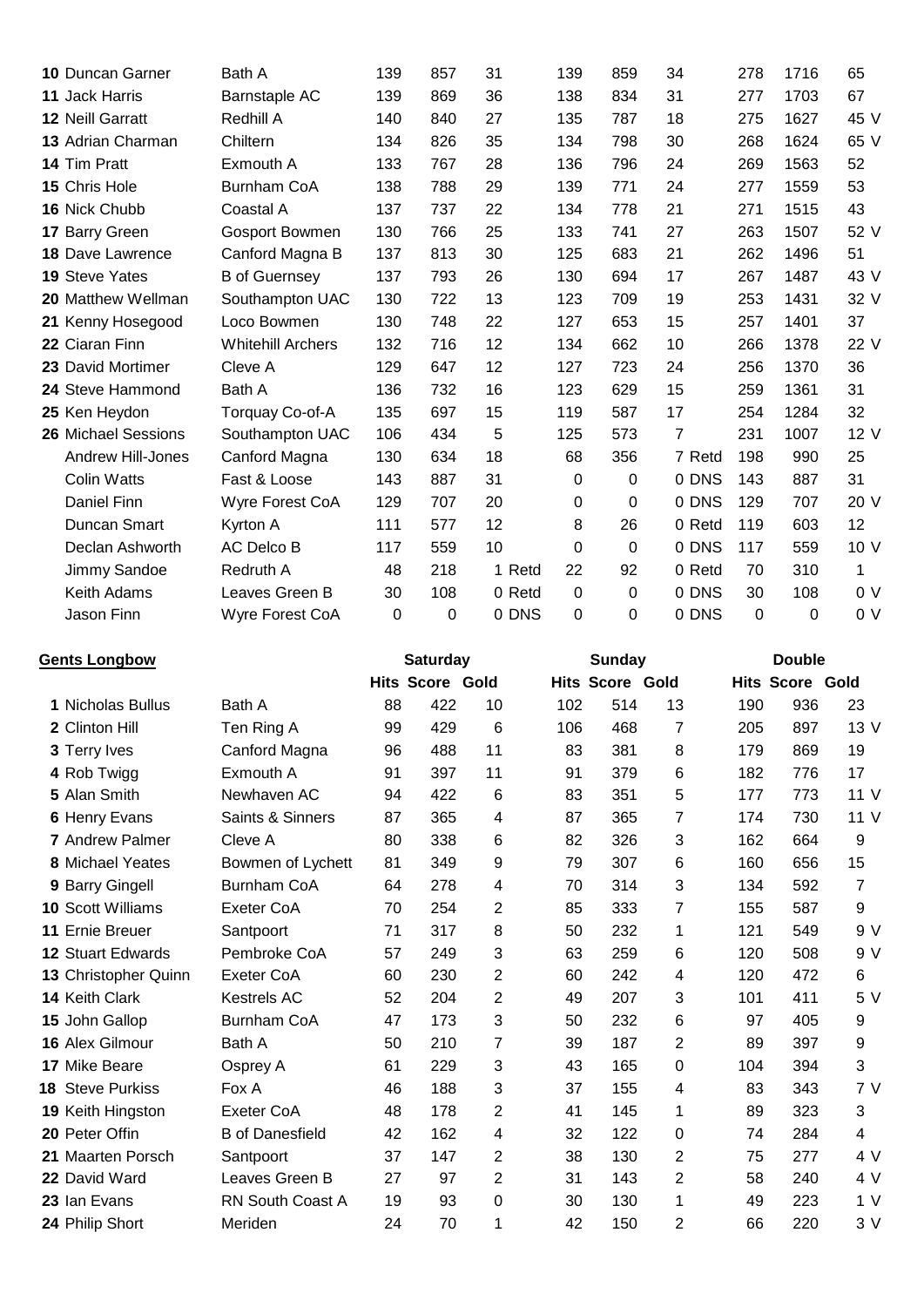| <b>10 Duncan Garner</b>   | Bath A                   | 139 | 857 | 31     | 139      | 859 | 34             | 278 | 1716     | 65              |
|---------------------------|--------------------------|-----|-----|--------|----------|-----|----------------|-----|----------|-----------------|
| 11 Jack Harris            | Barnstaple AC            | 139 | 869 | 36     | 138      | 834 | 31             | 277 | 1703     | 67              |
| 12 Neill Garratt          | Redhill A                | 140 | 840 | 27     | 135      | 787 | 18             | 275 | 1627     | 45 V            |
| 13 Adrian Charman         | Chiltern                 | 134 | 826 | 35     | 134      | 798 | 30             | 268 | 1624     | 65 V            |
| 14 Tim Pratt              | Exmouth A                | 133 | 767 | 28     | 136      | 796 | 24             | 269 | 1563     | 52              |
| 15 Chris Hole             | <b>Burnham CoA</b>       | 138 | 788 | 29     | 139      | 771 | 24             | 277 | 1559     | 53              |
| 16 Nick Chubb             | Coastal A                | 137 | 737 | 22     | 134      | 778 | 21             | 271 | 1515     | 43              |
| 17 Barry Green            | Gosport Bowmen           | 130 | 766 | 25     | 133      | 741 | 27             | 263 | 1507     | 52 V            |
| <b>18 Dave Lawrence</b>   | Canford Magna B          | 137 | 813 | 30     | 125      | 683 | 21             | 262 | 1496     | 51              |
| <b>19 Steve Yates</b>     | <b>B</b> of Guernsey     | 137 | 793 | 26     | 130      | 694 | 17             | 267 | 1487     | 43 V            |
| <b>20 Matthew Wellman</b> | Southampton UAC          | 130 | 722 | 13     | 123      | 709 | 19             | 253 | 1431     | 32 V            |
| 21 Kenny Hosegood         | Loco Bowmen              | 130 | 748 | 22     | 127      | 653 | 15             | 257 | 1401     | 37              |
| 22 Ciaran Finn            | <b>Whitehill Archers</b> | 132 | 716 | 12     | 134      | 662 | 10             | 266 | 1378     | 22 V            |
| 23 David Mortimer         | Cleve A                  | 129 | 647 | 12     | 127      | 723 | 24             | 256 | 1370     | 36              |
| 24 Steve Hammond          | Bath A                   | 136 | 732 | 16     | 123      | 629 | 15             | 259 | 1361     | 31              |
| 25 Ken Heydon             | Torquay Co-of-A          | 135 | 697 | 15     | 119      | 587 | 17             | 254 | 1284     | 32              |
| 26 Michael Sessions       | Southampton UAC          | 106 | 434 | 5      | 125      | 573 | $\overline{7}$ | 231 | 1007     | 12 V            |
| <b>Andrew Hill-Jones</b>  | Canford Magna            | 130 | 634 | 18     | 68       | 356 | 7 Retd         | 198 | 990      | 25              |
| <b>Colin Watts</b>        | Fast & Loose             | 143 | 887 | 31     | 0        | 0   | 0 DNS          | 143 | 887      | 31              |
| <b>Daniel Finn</b>        | Wyre Forest CoA          | 129 | 707 | 20     | 0        | 0   | 0 DNS          | 129 | 707      | 20 V            |
| Duncan Smart              | Kyrton A                 | 111 | 577 | 12     | 8        | 26  | 0 Retd         | 119 | 603      | 12 <sup>2</sup> |
| Declan Ashworth           | AC Delco B               | 117 | 559 | 10     | 0        | 0   | 0 DNS          | 117 | 559      | 10 V            |
| Jimmy Sandoe              | Redruth A                | 48  | 218 | 1 Retd | 22       | 92  | 0 Retd         | 70  | 310      | 1               |
| Keith Adams               | Leaves Green B           | 30  | 108 | 0 Retd | 0        | 0   | 0 DNS          | 30  | 108      | 0 <sub>V</sub>  |
| Jason Finn                | Wyre Forest CoA          | 0   | 0   | 0 DNS  | $\Omega$ | 0   | 0 DNS          | 0   | $\Omega$ | 0 V             |

| <b>Gents Longbow</b>     |                         |    | <b>Saturday</b>        |    |     | Sunday                 |    |     | <b>Double</b>          |                |
|--------------------------|-------------------------|----|------------------------|----|-----|------------------------|----|-----|------------------------|----------------|
|                          |                         |    | <b>Hits Score Gold</b> |    |     | <b>Hits Score Gold</b> |    |     | <b>Hits Score Gold</b> |                |
| 1 Nicholas Bullus        | Bath A                  | 88 | 422                    | 10 | 102 | 514                    | 13 | 190 | 936                    | 23             |
| 2 Clinton Hill           | Ten Ring A              | 99 | 429                    | 6  | 106 | 468                    | 7  | 205 | 897                    | 13 V           |
| 3 Terry Ives             | Canford Magna           | 96 | 488                    | 11 | 83  | 381                    | 8  | 179 | 869                    | 19             |
| 4 Rob Twigg              | Exmouth A               | 91 | 397                    | 11 | 91  | 379                    | 6  | 182 | 776                    | 17             |
| 5 Alan Smith             | Newhaven AC             | 94 | 422                    | 6  | 83  | 351                    | 5  | 177 | 773                    | 11 V           |
| 6 Henry Evans            | Saints & Sinners        | 87 | 365                    | 4  | 87  | 365                    | 7  | 174 | 730                    | 11V            |
| <b>7</b> Andrew Palmer   | Cleve A                 | 80 | 338                    | 6  | 82  | 326                    | 3  | 162 | 664                    | 9              |
| 8 Michael Yeates         | Bowmen of Lychett       | 81 | 349                    | 9  | 79  | 307                    | 6  | 160 | 656                    | 15             |
| 9 Barry Gingell          | <b>Burnham CoA</b>      | 64 | 278                    | 4  | 70  | 314                    | 3  | 134 | 592                    | 7              |
| <b>10 Scott Williams</b> | Exeter CoA              | 70 | 254                    | 2  | 85  | 333                    | 7  | 155 | 587                    | 9              |
| 11 Ernie Breuer          | Santpoort               | 71 | 317                    | 8  | 50  | 232                    | 1  | 121 | 549                    | 9 V            |
| <b>12 Stuart Edwards</b> | Pembroke CoA            | 57 | 249                    | 3  | 63  | 259                    | 6  | 120 | 508                    | 9 V            |
| 13 Christopher Quinn     | <b>Exeter CoA</b>       | 60 | 230                    | 2  | 60  | 242                    | 4  | 120 | 472                    | 6              |
| 14 Keith Clark           | <b>Kestrels AC</b>      | 52 | 204                    | 2  | 49  | 207                    | 3  | 101 | 411                    | 5V             |
| 15 John Gallop           | <b>Burnham CoA</b>      | 47 | 173                    | 3  | 50  | 232                    | 6  | 97  | 405                    | 9              |
| 16 Alex Gilmour          | Bath A                  | 50 | 210                    | 7  | 39  | 187                    | 2  | 89  | 397                    | 9              |
| 17 Mike Beare            | Osprey A                | 61 | 229                    | 3  | 43  | 165                    | 0  | 104 | 394                    | 3              |
| <b>18 Steve Purkiss</b>  | Fox A                   | 46 | 188                    | 3  | 37  | 155                    | 4  | 83  | 343                    | 7V             |
| 19 Keith Hingston        | <b>Exeter CoA</b>       | 48 | 178                    | 2  | 41  | 145                    | 1  | 89  | 323                    | 3              |
| 20 Peter Offin           | <b>B</b> of Danesfield  | 42 | 162                    | 4  | 32  | 122                    | 0  | 74  | 284                    | $\overline{4}$ |
| 21 Maarten Porsch        | Santpoort               | 37 | 147                    | 2  | 38  | 130                    | 2  | 75  | 277                    | 4 V            |
| 22 David Ward            | Leaves Green B          | 27 | 97                     | 2  | 31  | 143                    | 2  | 58  | 240                    | 4 V            |
| 23 Ian Evans             | <b>RN South Coast A</b> | 19 | 93                     | 0  | 30  | 130                    | 1  | 49  | 223                    | 1 <sub>V</sub> |
| 24 Philip Short          | Meriden                 | 24 | 70                     | 1  | 42  | 150                    | 2  | 66  | 220                    | 3V             |
|                          |                         |    |                        |    |     |                        |    |     |                        |                |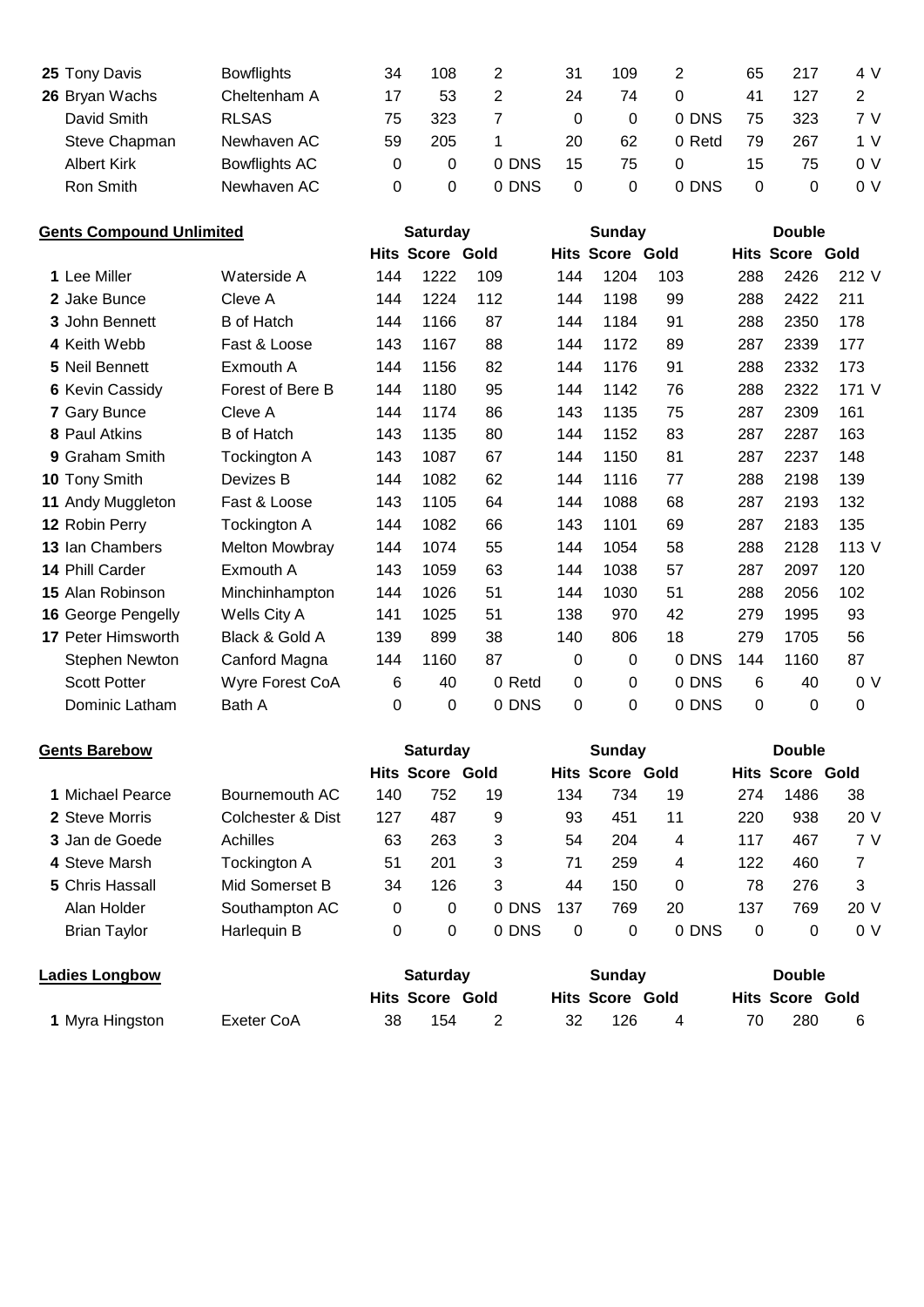| 25 Tony Davis      | <b>Bowflights</b> | 34 | 108 | 2     | 31 | 109 |        | 65 | 217 | 4 V |
|--------------------|-------------------|----|-----|-------|----|-----|--------|----|-----|-----|
| 26 Bryan Wachs     | Cheltenham A      |    | 53  | 2     | 24 | 74  |        | 41 | 127 |     |
| David Smith        | <b>RLSAS</b>      | 75 | 323 |       | 0  |     | 0 DNS  | 75 | 323 | 7 V |
| Steve Chapman      | Newhaven AC       | 59 | 205 |       | 20 | 62  | 0 Retd | 79 | 267 | 1 V |
| <b>Albert Kirk</b> | Bowflights AC     |    | 0   | 0 DNS | 15 | 75  |        | 15 | 75  | 0 V |
| Ron Smith          | Newhaven AC       |    | 0   | 0 DNS | 0  | 0   | 0 DNS  |    |     | 0 V |

| <b>Gents Compound Unlimited</b> |                        | <b>Saturday</b>       |          |                        | <b>Sunday</b> |          |                        | <b>Double</b> |     |                        |                |
|---------------------------------|------------------------|-----------------------|----------|------------------------|---------------|----------|------------------------|---------------|-----|------------------------|----------------|
|                                 |                        |                       |          | <b>Hits Score Gold</b> |               |          | <b>Hits Score Gold</b> |               |     | <b>Hits Score Gold</b> |                |
|                                 | 1 Lee Miller           | Waterside A           | 144      | 1222                   | 109           | 144      | 1204                   | 103           | 288 | 2426                   | 212 V          |
|                                 | 2 Jake Bunce           | Cleve A               | 144      | 1224                   | 112           | 144      | 1198                   | 99            | 288 | 2422                   | 211            |
|                                 | 3 John Bennett         | <b>B</b> of Hatch     | 144      | 1166                   | 87            | 144      | 1184                   | 91            | 288 | 2350                   | 178            |
|                                 | 4 Keith Webb           | Fast & Loose          | 143      | 1167                   | 88            | 144      | 1172                   | 89            | 287 | 2339                   | 177            |
|                                 | 5 Neil Bennett         | Exmouth A             | 144      | 1156                   | 82            | 144      | 1176                   | 91            | 288 | 2332                   | 173            |
|                                 | <b>6 Kevin Cassidy</b> | Forest of Bere B      | 144      | 1180                   | 95            | 144      | 1142                   | 76            | 288 | 2322                   | 171 V          |
|                                 | 7 Gary Bunce           | Cleve A               | 144      | 1174                   | 86            | 143      | 1135                   | 75            | 287 | 2309                   | 161            |
|                                 | 8 Paul Atkins          | <b>B</b> of Hatch     | 143      | 1135                   | 80            | 144      | 1152                   | 83            | 287 | 2287                   | 163            |
|                                 | 9 Graham Smith         | Tockington A          | 143      | 1087                   | 67            | 144      | 1150                   | 81            | 287 | 2237                   | 148            |
|                                 | 10 Tony Smith          | Devizes B             | 144      | 1082                   | 62            | 144      | 1116                   | 77            | 288 | 2198                   | 139            |
|                                 | 11 Andy Muggleton      | Fast & Loose          | 143      | 1105                   | 64            | 144      | 1088                   | 68            | 287 | 2193                   | 132            |
|                                 | 12 Robin Perry         | Tockington A          | 144      | 1082                   | 66            | 143      | 1101                   | 69            | 287 | 2183                   | 135            |
|                                 | 13 Ian Chambers        | <b>Melton Mowbray</b> | 144      | 1074                   | 55            | 144      | 1054                   | 58            | 288 | 2128                   | 113 V          |
|                                 | 14 Phill Carder        | Exmouth A             | 143      | 1059                   | 63            | 144      | 1038                   | 57            | 287 | 2097                   | 120            |
|                                 | 15 Alan Robinson       | Minchinhampton        | 144      | 1026                   | 51            | 144      | 1030                   | 51            | 288 | 2056                   | 102            |
|                                 | 16 George Pengelly     | Wells City A          | 141      | 1025                   | 51            | 138      | 970                    | 42            | 279 | 1995                   | 93             |
|                                 | 17 Peter Himsworth     | Black & Gold A        | 139      | 899                    | 38            | 140      | 806                    | 18            | 279 | 1705                   | 56             |
|                                 | Stephen Newton         | Canford Magna         | 144      | 1160                   | 87            | 0        | 0                      | 0 DNS         | 144 | 1160                   | 87             |
|                                 | <b>Scott Potter</b>    | Wyre Forest CoA       | 6        | 40                     | 0 Retd        | $\Omega$ | 0                      | 0 DNS         | 6   | 40                     | 0 <sup>0</sup> |
|                                 | Dominic Latham         | Bath A                | $\Omega$ | 0                      | 0 DNS         | 0        | 0                      | 0 DNS         | 0   | 0                      | $\mathbf 0$    |
|                                 |                        |                       |          |                        |               |          |                        |               |     |                        |                |

| <b>Gents Barebow</b> |                   |     | <b>Saturday</b>        |       |     | <b>Sunday</b>          |          |     | <b>Double</b>          |      |
|----------------------|-------------------|-----|------------------------|-------|-----|------------------------|----------|-----|------------------------|------|
|                      |                   |     | <b>Hits Score Gold</b> |       |     | <b>Hits Score Gold</b> |          |     | <b>Hits Score Gold</b> |      |
| 1 Michael Pearce     | Bournemouth AC    | 140 | 752                    | 19    | 134 | 734                    | 19       | 274 | 1486                   | 38   |
| 2 Steve Morris       | Colchester & Dist | 127 | 487                    | 9     | 93  | 451                    | 11       | 220 | 938                    | 20 V |
| 3 Jan de Goede       | Achilles          | 63  | 263                    | 3     | 54  | 204                    | 4        | 117 | 467                    | 7 V  |
| 4 Steve Marsh        | Tockington A      | 51  | 201                    | 3     | 71  | 259                    | 4        | 122 | 460                    | 7    |
| 5 Chris Hassall      | Mid Somerset B    | 34  | 126                    | 3     | 44  | 150                    | $\Omega$ | 78  | 276                    | 3    |
| Alan Holder          | Southampton AC    | 0   | 0                      | 0 DNS | 137 | 769                    | 20       | 137 | 769                    | 20 V |
| <b>Brian Taylor</b>  | Harlequin B       | 0   | 0                      | 0 DNS | 0   | 0                      | 0 DNS    | 0   | 0                      | 0 V  |
|                      |                   |     |                        |       |     |                        |          |     |                        |      |

| <b>Ladies Longbow</b> |            | <b>Saturday</b> |                        |  | Sundav                 |     |  | <b>Double</b>          |     |   |  |
|-----------------------|------------|-----------------|------------------------|--|------------------------|-----|--|------------------------|-----|---|--|
|                       |            |                 | <b>Hits Score Gold</b> |  | <b>Hits Score Gold</b> |     |  | <b>Hits Score Gold</b> |     |   |  |
| 1 Myra Hingston       | Exeter CoA | 38              | 154                    |  |                        | 126 |  |                        | 280 | 6 |  |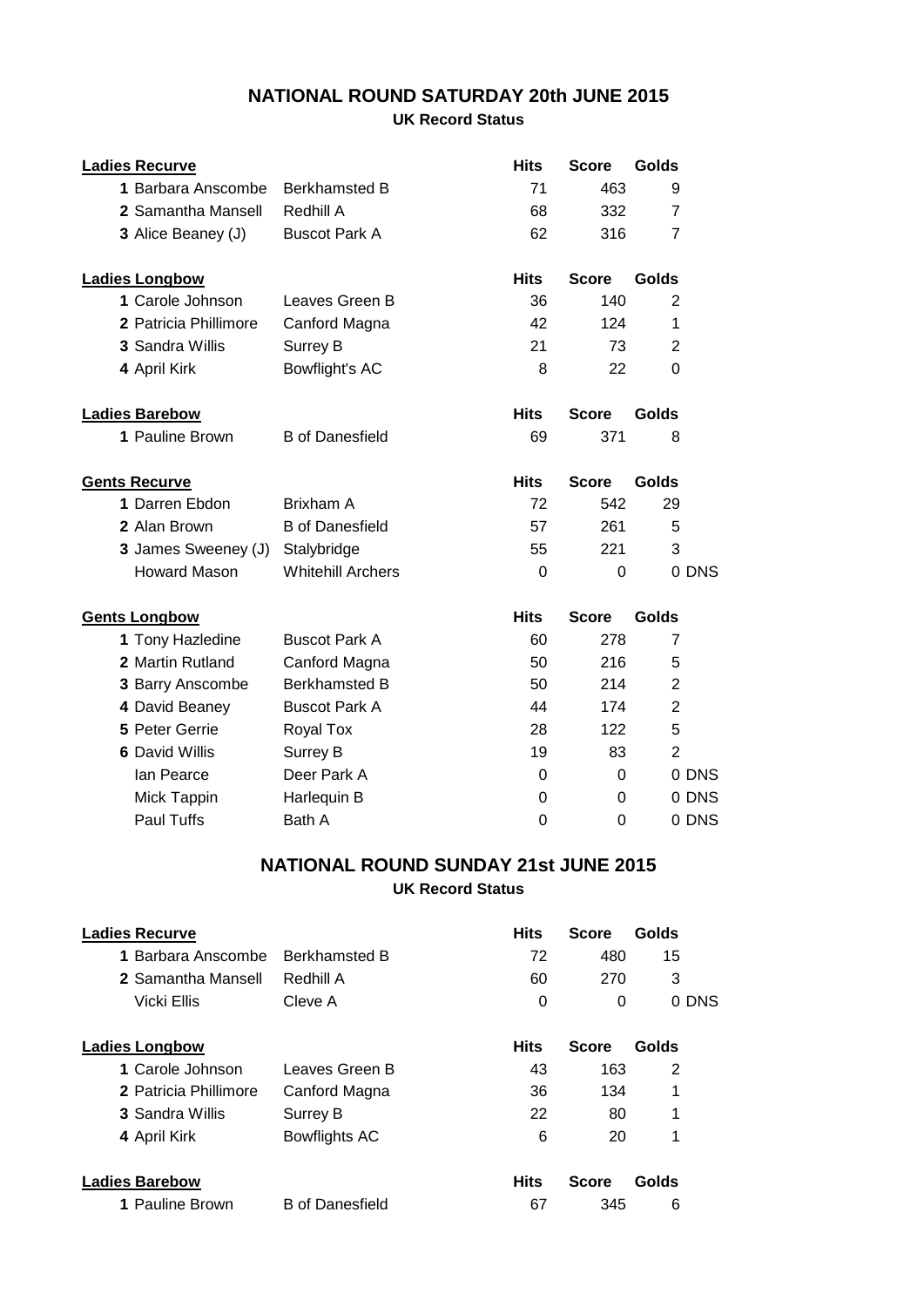## **NATIONAL ROUND SATURDAY 20th JUNE 2015**

## **UK Record Status**

| <b>Ladies Recurve</b> |                          | <b>Hits</b> | <b>Score</b>   | Golds          |
|-----------------------|--------------------------|-------------|----------------|----------------|
| 1 Barbara Anscombe    | <b>Berkhamsted B</b>     | 71          | 463            | 9              |
| 2 Samantha Mansell    | Redhill A                | 68          | 332            | $\overline{7}$ |
| 3 Alice Beaney (J)    | <b>Buscot Park A</b>     | 62          | 316            | $\overline{7}$ |
| <b>Ladies Longbow</b> |                          | <b>Hits</b> | <b>Score</b>   | Golds          |
| 1 Carole Johnson      | Leaves Green B           | 36          | 140            | 2              |
| 2 Patricia Phillimore | Canford Magna            | 42          | 124            | 1              |
| 3 Sandra Willis       | Surrey B                 | 21          | 73             | $\overline{2}$ |
| 4 April Kirk          | Bowflight's AC           | 8           | 22             | $\Omega$       |
| <b>Ladies Barebow</b> |                          | <b>Hits</b> | <b>Score</b>   | <b>Golds</b>   |
| 1 Pauline Brown       | <b>B</b> of Danesfield   | 69          | 371            | 8              |
| <b>Gents Recurve</b>  |                          | <b>Hits</b> | <b>Score</b>   | <b>Golds</b>   |
| 1 Darren Ebdon        | Brixham A                | 72          | 542            | 29             |
| 2 Alan Brown          | <b>B</b> of Danesfield   | 57          | 261            | 5              |
| 3 James Sweeney (J)   | Stalybridge              | 55          | 221            | 3              |
| <b>Howard Mason</b>   | <b>Whitehill Archers</b> | 0           | 0              | 0 DNS          |
| <b>Gents Longbow</b>  |                          | <b>Hits</b> | <b>Score</b>   | Golds          |
| 1 Tony Hazledine      | <b>Buscot Park A</b>     | 60          | 278            | $\overline{7}$ |
| 2 Martin Rutland      | Canford Magna            | 50          | 216            | 5              |
| 3 Barry Anscombe      | <b>Berkhamsted B</b>     | 50          | 214            | $\overline{2}$ |
| 4 David Beaney        | <b>Buscot Park A</b>     | 44          | 174            | $\overline{2}$ |
| 5 Peter Gerrie        | Royal Tox                | 28          | 122            | 5              |
| <b>6 David Willis</b> | <b>Surrey B</b>          | 19          | 83             | $\overline{2}$ |
| lan Pearce            | Deer Park A              | 0           | 0              | 0 DNS          |
| Mick Tappin           | Harlequin B              | 0           | 0              | 0 DNS          |
| Paul Tuffs            | Bath A                   | 0           | $\overline{0}$ | 0 DNS          |

## **UK Record Status NATIONAL ROUND SUNDAY 21st JUNE 2015**

| <b>Ladies Recurve</b>  |                        | <b>Hits</b> | <b>Score</b> | Golds |
|------------------------|------------------------|-------------|--------------|-------|
| 1 Barbara Anscombe     | <b>Berkhamsted B</b>   | 72          | 480          | 15    |
| 2 Samantha Mansell     | Redhill A              | 60          | 270          | 3     |
| Vicki Ellis            | Cleve A                | 0           | 0            | 0 DNS |
| <b>Ladies Longbow</b>  |                        | <b>Hits</b> | <b>Score</b> | Golds |
| 1 Carole Johnson       | Leaves Green B         | 43          | 163          | 2     |
| 2 Patricia Phillimore  | Canford Magna          | 36          | 134          | 1     |
| <b>3 Sandra Willis</b> | Surrey B               | 22          | 80           | 1     |
| 4 April Kirk           | Bowflights AC          | 6           | 20           | 1     |
| <b>Ladies Barebow</b>  |                        | <b>Hits</b> | <b>Score</b> | Golds |
| 1 Pauline Brown        | <b>B</b> of Danesfield | 67          | 345          | 6     |